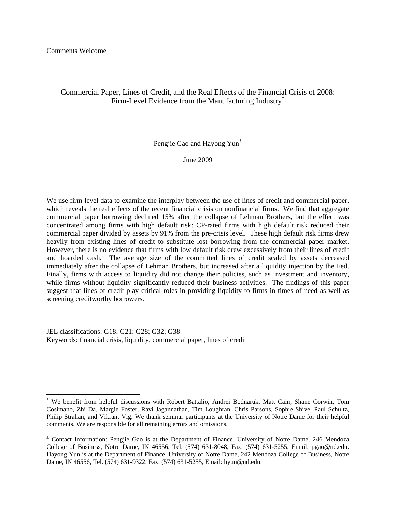# Commercial Paper, Lines of Credit, and the Real Effects of the Financial Crisis of 2008: Firm-Level Evidence from the Manufacturing Industry<sup>\*</sup>

Pengjie Gao and Hayong Yun<sup>±</sup>

June 2009

We use firm-level data to examine the interplay between the use of lines of credit and commercial paper, which reveals the real effects of the recent financial crisis on nonfinancial firms. We find that aggregate commercial paper borrowing declined 15% after the collapse of Lehman Brothers, but the effect was concentrated among firms with high default risk: CP-rated firms with high default risk reduced their commercial paper divided by assets by 91% from the pre-crisis level. These high default risk firms drew heavily from existing lines of credit to substitute lost borrowing from the commercial paper market. However, there is no evidence that firms with low default risk drew excessively from their lines of credit and hoarded cash. The average size of the committed lines of credit scaled by assets decreased immediately after the collapse of Lehman Brothers, but increased after a liquidity injection by the Fed. Finally, firms with access to liquidity did not change their policies, such as investment and inventory, while firms without liquidity significantly reduced their business activities. The findings of this paper suggest that lines of credit play critical roles in providing liquidity to firms in times of need as well as screening creditworthy borrowers.

JEL classifications: G18; G21; G28; G32; G38 Keywords: financial crisis, liquidity, commercial paper, lines of credit

<sup>\*</sup> We benefit from helpful discussions with Robert Battalio, Andrei Bodnaruk, Matt Cain, Shane Corwin, Tom Cosimano, Zhi Da, Margie Foster, Ravi Jagannathan, Tim Loughran, Chris Parsons, Sophie Shive, Paul Schultz, Philip Strahan, and Vikrant Vig. We thank seminar participants at the University of Notre Dame for their helpful comments. We are responsible for all remaining errors and omissions.

<sup>±</sup> Contact Information: Pengjie Gao is at the Department of Finance, University of Notre Dame, 246 Mendoza College of Business, Notre Dame, IN 46556, Tel. (574) 631-8048, Fax. (574) 631-5255, Email: pgao@nd.edu. Hayong Yun is at the Department of Finance, University of Notre Dame, 242 Mendoza College of Business, Notre Dame, IN 46556, Tel. (574) 631-9322, Fax. (574) 631-5255, Email: hyun@nd.edu.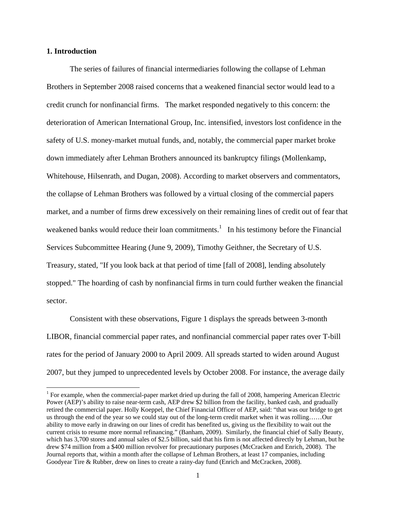## **1. Introduction**

The series of failures of financial intermediaries following the collapse of Lehman Brothers in September 2008 raised concerns that a weakened financial sector would lead to a credit crunch for nonfinancial firms. The market responded negatively to this concern: the deterioration of American International Group, Inc. intensified, investors lost confidence in the safety of U.S. money-market mutual funds, and, notably, the commercial paper market broke down immediately after Lehman Brothers announced its bankruptcy filings (Mollenkamp, Whitehouse, Hilsenrath, and Dugan, 2008). According to market observers and commentators, the collapse of Lehman Brothers was followed by a virtual closing of the commercial papers market, and a number of firms drew excessively on their remaining lines of credit out of fear that weakened banks would reduce their loan commitments.<sup>1</sup> In his testimony before the Financial Services Subcommittee Hearing (June 9, 2009), Timothy Geithner, the Secretary of U.S. Treasury, stated, "If you look back at that period of time [fall of 2008], lending absolutely stopped." The hoarding of cash by nonfinancial firms in turn could further weaken the financial sector.

Consistent with these observations, Figure 1 displays the spreads between 3-month LIBOR, financial commercial paper rates, and nonfinancial commercial paper rates over T-bill rates for the period of January 2000 to April 2009. All spreads started to widen around August 2007, but they jumped to unprecedented levels by October 2008. For instance, the average daily

<sup>&</sup>lt;sup>1</sup> For example, when the commercial-paper market dried up during the fall of 2008, hampering American Electric Power (AEP)'s ability to raise near-term cash, AEP drew \$2 billion from the facility, banked cash, and gradually retired the commercial paper. Holly Koeppel, the Chief Financial Officer of AEP, said: "that was our bridge to get us through the end of the year so we could stay out of the long-term credit market when it was rolling……Our ability to move early in drawing on our lines of credit has benefited us, giving us the flexibility to wait out the current crisis to resume more normal refinancing." (Banham, 2009). Similarly, the financial chief of Sally Beauty, which has 3,700 stores and annual sales of \$2.5 billion, said that his firm is not affected directly by Lehman, but he drew \$74 million from a \$400 million revolver for precautionary purposes (McCracken and Enrich, 2008). The Journal reports that, within a month after the collapse of Lehman Brothers, at least 17 companies, including Goodyear Tire & Rubber, drew on lines to create a rainy-day fund (Enrich and McCracken, 2008).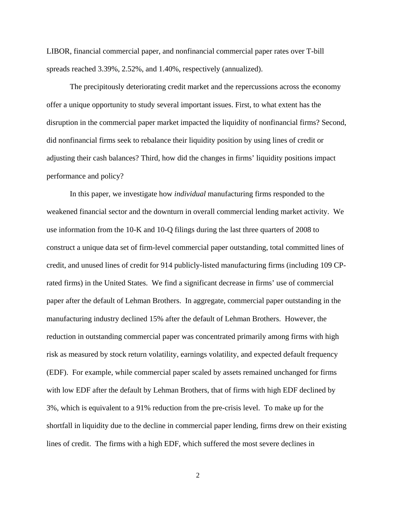LIBOR, financial commercial paper, and nonfinancial commercial paper rates over T-bill spreads reached 3.39%, 2.52%, and 1.40%, respectively (annualized).

The precipitously deteriorating credit market and the repercussions across the economy offer a unique opportunity to study several important issues. First, to what extent has the disruption in the commercial paper market impacted the liquidity of nonfinancial firms? Second, did nonfinancial firms seek to rebalance their liquidity position by using lines of credit or adjusting their cash balances? Third, how did the changes in firms' liquidity positions impact performance and policy?

In this paper, we investigate how *individual* manufacturing firms responded to the weakened financial sector and the downturn in overall commercial lending market activity. We use information from the 10-K and 10-Q filings during the last three quarters of 2008 to construct a unique data set of firm-level commercial paper outstanding, total committed lines of credit, and unused lines of credit for 914 publicly-listed manufacturing firms (including 109 CPrated firms) in the United States. We find a significant decrease in firms' use of commercial paper after the default of Lehman Brothers. In aggregate, commercial paper outstanding in the manufacturing industry declined 15% after the default of Lehman Brothers. However, the reduction in outstanding commercial paper was concentrated primarily among firms with high risk as measured by stock return volatility, earnings volatility, and expected default frequency (EDF). For example, while commercial paper scaled by assets remained unchanged for firms with low EDF after the default by Lehman Brothers, that of firms with high EDF declined by 3%, which is equivalent to a 91% reduction from the pre-crisis level. To make up for the shortfall in liquidity due to the decline in commercial paper lending, firms drew on their existing lines of credit. The firms with a high EDF, which suffered the most severe declines in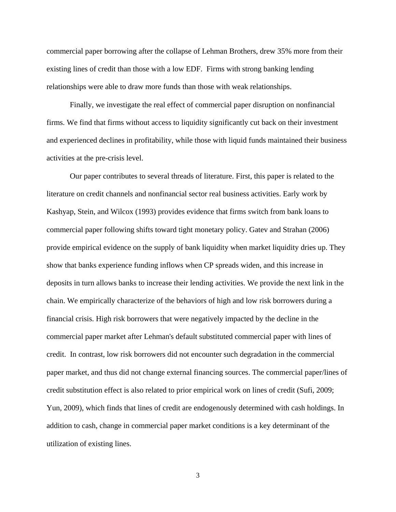commercial paper borrowing after the collapse of Lehman Brothers, drew 35% more from their existing lines of credit than those with a low EDF. Firms with strong banking lending relationships were able to draw more funds than those with weak relationships.

Finally, we investigate the real effect of commercial paper disruption on nonfinancial firms. We find that firms without access to liquidity significantly cut back on their investment and experienced declines in profitability, while those with liquid funds maintained their business activities at the pre-crisis level.

Our paper contributes to several threads of literature. First, this paper is related to the literature on credit channels and nonfinancial sector real business activities. Early work by Kashyap, Stein, and Wilcox (1993) provides evidence that firms switch from bank loans to commercial paper following shifts toward tight monetary policy. Gatev and Strahan (2006) provide empirical evidence on the supply of bank liquidity when market liquidity dries up. They show that banks experience funding inflows when CP spreads widen, and this increase in deposits in turn allows banks to increase their lending activities. We provide the next link in the chain. We empirically characterize of the behaviors of high and low risk borrowers during a financial crisis. High risk borrowers that were negatively impacted by the decline in the commercial paper market after Lehman's default substituted commercial paper with lines of credit. In contrast, low risk borrowers did not encounter such degradation in the commercial paper market, and thus did not change external financing sources. The commercial paper/lines of credit substitution effect is also related to prior empirical work on lines of credit (Sufi, 2009; Yun, 2009), which finds that lines of credit are endogenously determined with cash holdings. In addition to cash, change in commercial paper market conditions is a key determinant of the utilization of existing lines.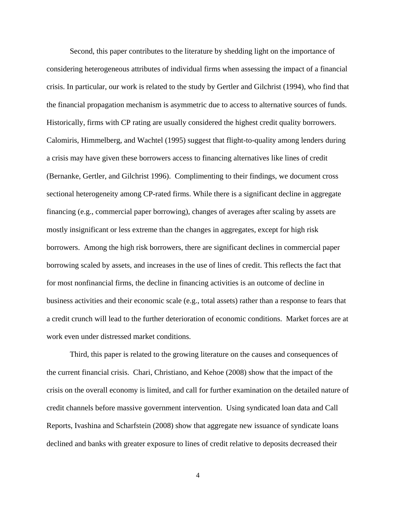Second, this paper contributes to the literature by shedding light on the importance of considering heterogeneous attributes of individual firms when assessing the impact of a financial crisis. In particular, our work is related to the study by Gertler and Gilchrist (1994), who find that the financial propagation mechanism is asymmetric due to access to alternative sources of funds. Historically, firms with CP rating are usually considered the highest credit quality borrowers. Calomiris, Himmelberg, and Wachtel (1995) suggest that flight-to-quality among lenders during a crisis may have given these borrowers access to financing alternatives like lines of credit (Bernanke, Gertler, and Gilchrist 1996). Complimenting to their findings, we document cross sectional heterogeneity among CP-rated firms. While there is a significant decline in aggregate financing (e.g., commercial paper borrowing), changes of averages after scaling by assets are mostly insignificant or less extreme than the changes in aggregates, except for high risk borrowers. Among the high risk borrowers, there are significant declines in commercial paper borrowing scaled by assets, and increases in the use of lines of credit. This reflects the fact that for most nonfinancial firms, the decline in financing activities is an outcome of decline in business activities and their economic scale (e.g., total assets) rather than a response to fears that a credit crunch will lead to the further deterioration of economic conditions. Market forces are at work even under distressed market conditions.

Third, this paper is related to the growing literature on the causes and consequences of the current financial crisis. Chari, Christiano, and Kehoe (2008) show that the impact of the crisis on the overall economy is limited, and call for further examination on the detailed nature of credit channels before massive government intervention. Using syndicated loan data and Call Reports, Ivashina and Scharfstein (2008) show that aggregate new issuance of syndicate loans declined and banks with greater exposure to lines of credit relative to deposits decreased their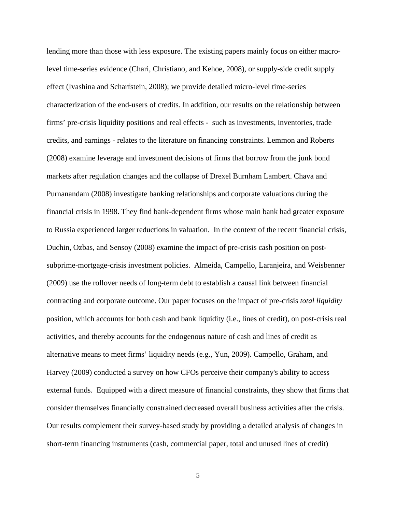lending more than those with less exposure. The existing papers mainly focus on either macrolevel time-series evidence (Chari, Christiano, and Kehoe, 2008), or supply-side credit supply effect (Ivashina and Scharfstein, 2008); we provide detailed micro-level time-series characterization of the end-users of credits. In addition, our results on the relationship between firms' pre-crisis liquidity positions and real effects - such as investments, inventories, trade credits, and earnings - relates to the literature on financing constraints. Lemmon and Roberts (2008) examine leverage and investment decisions of firms that borrow from the junk bond markets after regulation changes and the collapse of Drexel Burnham Lambert. Chava and Purnanandam (2008) investigate banking relationships and corporate valuations during the financial crisis in 1998. They find bank-dependent firms whose main bank had greater exposure to Russia experienced larger reductions in valuation. In the context of the recent financial crisis, Duchin, Ozbas, and Sensoy (2008) examine the impact of pre-crisis cash position on postsubprime-mortgage-crisis investment policies. Almeida, Campello, Laranjeira, and Weisbenner (2009) use the rollover needs of long-term debt to establish a causal link between financial contracting and corporate outcome. Our paper focuses on the impact of pre-crisis *total liquidity* position, which accounts for both cash and bank liquidity (i.e., lines of credit), on post-crisis real activities, and thereby accounts for the endogenous nature of cash and lines of credit as alternative means to meet firms' liquidity needs (e.g., Yun, 2009). Campello, Graham, and Harvey (2009) conducted a survey on how CFOs perceive their company's ability to access external funds. Equipped with a direct measure of financial constraints, they show that firms that consider themselves financially constrained decreased overall business activities after the crisis. Our results complement their survey-based study by providing a detailed analysis of changes in short-term financing instruments (cash, commercial paper, total and unused lines of credit)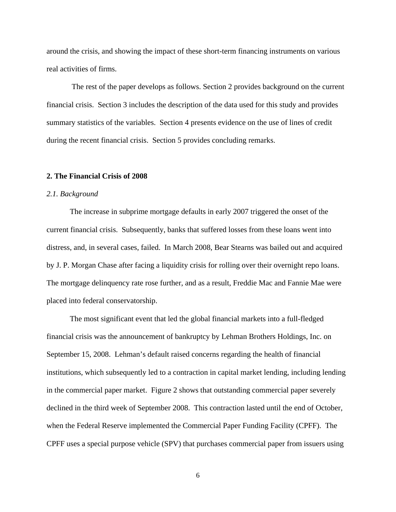around the crisis, and showing the impact of these short-term financing instruments on various real activities of firms.

 The rest of the paper develops as follows. Section 2 provides background on the current financial crisis. Section 3 includes the description of the data used for this study and provides summary statistics of the variables. Section 4 presents evidence on the use of lines of credit during the recent financial crisis. Section 5 provides concluding remarks.

### **2. The Financial Crisis of 2008**

#### *2.1. Background*

 The increase in subprime mortgage defaults in early 2007 triggered the onset of the current financial crisis. Subsequently, banks that suffered losses from these loans went into distress, and, in several cases, failed. In March 2008, Bear Stearns was bailed out and acquired by J. P. Morgan Chase after facing a liquidity crisis for rolling over their overnight repo loans. The mortgage delinquency rate rose further, and as a result, Freddie Mac and Fannie Mae were placed into federal conservatorship.

The most significant event that led the global financial markets into a full-fledged financial crisis was the announcement of bankruptcy by Lehman Brothers Holdings, Inc. on September 15, 2008. Lehman's default raised concerns regarding the health of financial institutions, which subsequently led to a contraction in capital market lending, including lending in the commercial paper market. Figure 2 shows that outstanding commercial paper severely declined in the third week of September 2008. This contraction lasted until the end of October, when the Federal Reserve implemented the Commercial Paper Funding Facility (CPFF). The CPFF uses a special purpose vehicle (SPV) that purchases commercial paper from issuers using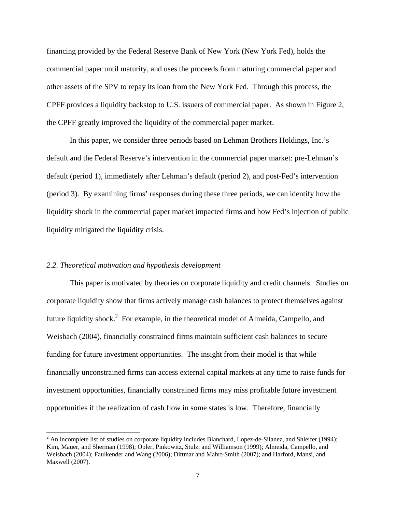financing provided by the Federal Reserve Bank of New York (New York Fed), holds the commercial paper until maturity, and uses the proceeds from maturing commercial paper and other assets of the SPV to repay its loan from the New York Fed. Through this process, the CPFF provides a liquidity backstop to U.S. issuers of commercial paper. As shown in Figure 2, the CPFF greatly improved the liquidity of the commercial paper market.

In this paper, we consider three periods based on Lehman Brothers Holdings, Inc.'s default and the Federal Reserve's intervention in the commercial paper market: pre-Lehman's default (period 1), immediately after Lehman's default (period 2), and post-Fed's intervention (period 3). By examining firms' responses during these three periods, we can identify how the liquidity shock in the commercial paper market impacted firms and how Fed's injection of public liquidity mitigated the liquidity crisis.

## *2.2. Theoretical motivation and hypothesis development*

This paper is motivated by theories on corporate liquidity and credit channels. Studies on corporate liquidity show that firms actively manage cash balances to protect themselves against future liquidity shock.<sup>2</sup> For example, in the theoretical model of Almeida, Campello, and Weisbach (2004), financially constrained firms maintain sufficient cash balances to secure funding for future investment opportunities. The insight from their model is that while financially unconstrained firms can access external capital markets at any time to raise funds for investment opportunities, financially constrained firms may miss profitable future investment opportunities if the realization of cash flow in some states is low. Therefore, financially

 $2^2$  An incomplete list of studies on corporate liquidity includes Blanchard, Lopez-de-Silanez, and Shleifer (1994); Kim, Mauer, and Sherman (1998); Opler, Pinkowitz, Stulz, and Williamson (1999); Almeida, Campello, and Weisbach (2004); Faulkender and Wang (2006); Dittmar and Mahrt-Smith (2007); and Harford, Mansi, and Maxwell (2007).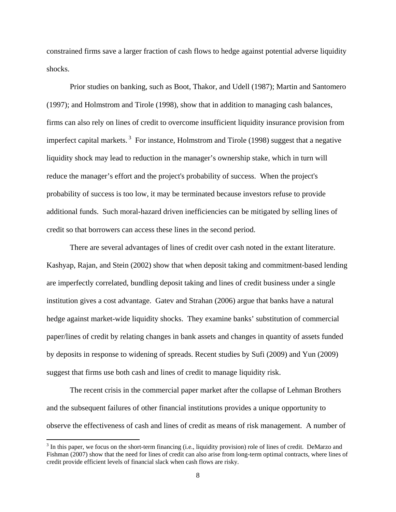constrained firms save a larger fraction of cash flows to hedge against potential adverse liquidity shocks.

Prior studies on banking, such as Boot, Thakor, and Udell (1987); Martin and Santomero (1997); and Holmstrom and Tirole (1998), show that in addition to managing cash balances, firms can also rely on lines of credit to overcome insufficient liquidity insurance provision from imperfect capital markets.<sup>3</sup> For instance, Holmstrom and Tirole (1998) suggest that a negative liquidity shock may lead to reduction in the manager's ownership stake, which in turn will reduce the manager's effort and the project's probability of success. When the project's probability of success is too low, it may be terminated because investors refuse to provide additional funds. Such moral-hazard driven inefficiencies can be mitigated by selling lines of credit so that borrowers can access these lines in the second period.

There are several advantages of lines of credit over cash noted in the extant literature. Kashyap, Rajan, and Stein (2002) show that when deposit taking and commitment-based lending are imperfectly correlated, bundling deposit taking and lines of credit business under a single institution gives a cost advantage. Gatev and Strahan (2006) argue that banks have a natural hedge against market-wide liquidity shocks. They examine banks' substitution of commercial paper/lines of credit by relating changes in bank assets and changes in quantity of assets funded by deposits in response to widening of spreads. Recent studies by Sufi (2009) and Yun (2009) suggest that firms use both cash and lines of credit to manage liquidity risk.

The recent crisis in the commercial paper market after the collapse of Lehman Brothers and the subsequent failures of other financial institutions provides a unique opportunity to observe the effectiveness of cash and lines of credit as means of risk management. A number of

 $3$  In this paper, we focus on the short-term financing (i.e., liquidity provision) role of lines of credit. DeMarzo and Fishman (2007) show that the need for lines of credit can also arise from long-term optimal contracts, where lines of credit provide efficient levels of financial slack when cash flows are risky.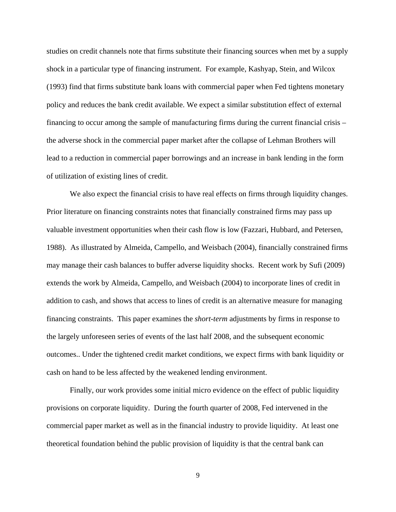studies on credit channels note that firms substitute their financing sources when met by a supply shock in a particular type of financing instrument. For example, Kashyap, Stein, and Wilcox (1993) find that firms substitute bank loans with commercial paper when Fed tightens monetary policy and reduces the bank credit available. We expect a similar substitution effect of external financing to occur among the sample of manufacturing firms during the current financial crisis – the adverse shock in the commercial paper market after the collapse of Lehman Brothers will lead to a reduction in commercial paper borrowings and an increase in bank lending in the form of utilization of existing lines of credit.

We also expect the financial crisis to have real effects on firms through liquidity changes. Prior literature on financing constraints notes that financially constrained firms may pass up valuable investment opportunities when their cash flow is low (Fazzari, Hubbard, and Petersen, 1988). As illustrated by Almeida, Campello, and Weisbach (2004), financially constrained firms may manage their cash balances to buffer adverse liquidity shocks. Recent work by Sufi (2009) extends the work by Almeida, Campello, and Weisbach (2004) to incorporate lines of credit in addition to cash, and shows that access to lines of credit is an alternative measure for managing financing constraints. This paper examines the *short-term* adjustments by firms in response to the largely unforeseen series of events of the last half 2008, and the subsequent economic outcomes.. Under the tightened credit market conditions, we expect firms with bank liquidity or cash on hand to be less affected by the weakened lending environment.

Finally, our work provides some initial micro evidence on the effect of public liquidity provisions on corporate liquidity. During the fourth quarter of 2008, Fed intervened in the commercial paper market as well as in the financial industry to provide liquidity. At least one theoretical foundation behind the public provision of liquidity is that the central bank can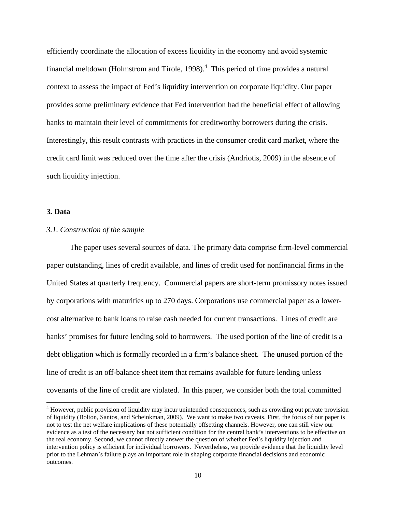efficiently coordinate the allocation of excess liquidity in the economy and avoid systemic financial meltdown (Holmstrom and Tirole, 1998). $<sup>4</sup>$  This period of time provides a natural</sup> context to assess the impact of Fed's liquidity intervention on corporate liquidity. Our paper provides some preliminary evidence that Fed intervention had the beneficial effect of allowing banks to maintain their level of commitments for creditworthy borrowers during the crisis. Interestingly, this result contrasts with practices in the consumer credit card market, where the credit card limit was reduced over the time after the crisis (Andriotis, 2009) in the absence of such liquidity injection.

## **3. Data**

## *3.1. Construction of the sample*

The paper uses several sources of data. The primary data comprise firm-level commercial paper outstanding, lines of credit available, and lines of credit used for nonfinancial firms in the United States at quarterly frequency. Commercial papers are short-term promissory notes issued by corporations with maturities up to 270 days. Corporations use commercial paper as a lowercost alternative to bank loans to raise cash needed for current transactions. Lines of credit are banks' promises for future lending sold to borrowers. The used portion of the line of credit is a debt obligation which is formally recorded in a firm's balance sheet. The unused portion of the line of credit is an off-balance sheet item that remains available for future lending unless covenants of the line of credit are violated. In this paper, we consider both the total committed

<sup>&</sup>lt;sup>4</sup> However, public provision of liquidity may incur unintended consequences, such as crowding out private provision of liquidity (Bolton, Santos, and Scheinkman, 2009). We want to make two caveats. First, the focus of our paper is not to test the net welfare implications of these potentially offsetting channels. However, one can still view our evidence as a test of the necessary but not sufficient condition for the central bank's interventions to be effective on the real economy. Second, we cannot directly answer the question of whether Fed's liquidity injection and intervention policy is efficient for individual borrowers. Nevertheless, we provide evidence that the liquidity level prior to the Lehman's failure plays an important role in shaping corporate financial decisions and economic outcomes.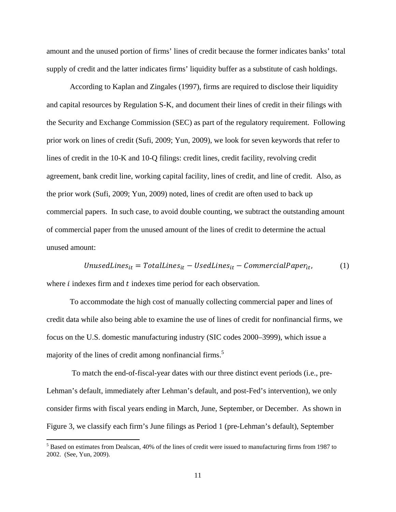amount and the unused portion of firms' lines of credit because the former indicates banks' total supply of credit and the latter indicates firms' liquidity buffer as a substitute of cash holdings.

According to Kaplan and Zingales (1997), firms are required to disclose their liquidity and capital resources by Regulation S-K, and document their lines of credit in their filings with the Security and Exchange Commission (SEC) as part of the regulatory requirement. Following prior work on lines of credit (Sufi, 2009; Yun, 2009), we look for seven keywords that refer to lines of credit in the 10-K and 10-Q filings: credit lines, credit facility, revolving credit agreement, bank credit line, working capital facility, lines of credit, and line of credit. Also, as the prior work (Sufi, 2009; Yun, 2009) noted, lines of credit are often used to back up commercial papers. In such case, to avoid double counting, we subtract the outstanding amount of commercial paper from the unused amount of the lines of credit to determine the actual unused amount:

UnusedLines $_{it}$  = TotalLines $_{it}$  – UsedLines $_{it}$  – CommercialPaper $_{it}$ , (1) where  $i$  indexes firm and  $t$  indexes time period for each observation.

 To accommodate the high cost of manually collecting commercial paper and lines of credit data while also being able to examine the use of lines of credit for nonfinancial firms, we focus on the U.S. domestic manufacturing industry (SIC codes 2000–3999), which issue a majority of the lines of credit among nonfinancial firms.<sup>5</sup>

 To match the end-of-fiscal-year dates with our three distinct event periods (i.e., pre-Lehman's default, immediately after Lehman's default, and post-Fed's intervention), we only consider firms with fiscal years ending in March, June, September, or December. As shown in Figure 3, we classify each firm's June filings as Period 1 (pre-Lehman's default), September

<sup>&</sup>lt;sup>5</sup> Based on estimates from Dealscan, 40% of the lines of credit were issued to manufacturing firms from 1987 to 2002. (See, Yun, 2009).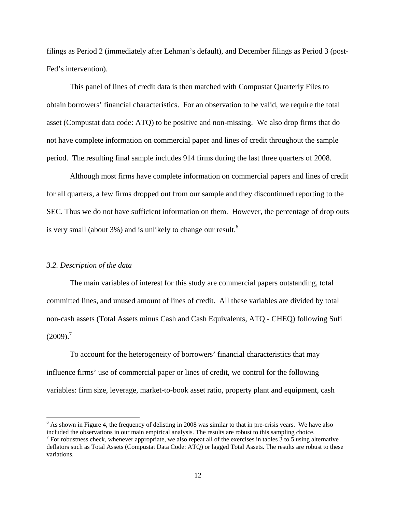filings as Period 2 (immediately after Lehman's default), and December filings as Period 3 (post-Fed's intervention).

This panel of lines of credit data is then matched with Compustat Quarterly Files to obtain borrowers' financial characteristics. For an observation to be valid, we require the total asset (Compustat data code: ATQ) to be positive and non-missing. We also drop firms that do not have complete information on commercial paper and lines of credit throughout the sample period. The resulting final sample includes 914 firms during the last three quarters of 2008.

Although most firms have complete information on commercial papers and lines of credit for all quarters, a few firms dropped out from our sample and they discontinued reporting to the SEC. Thus we do not have sufficient information on them. However, the percentage of drop outs is very small (about  $3\%$ ) and is unlikely to change our result.<sup>6</sup>

#### *3.2. Description of the data*

The main variables of interest for this study are commercial papers outstanding, total committed lines, and unused amount of lines of credit. All these variables are divided by total non-cash assets (Total Assets minus Cash and Cash Equivalents, ATQ - CHEQ) following Sufi  $(2009).<sup>7</sup>$ 

To account for the heterogeneity of borrowers' financial characteristics that may influence firms' use of commercial paper or lines of credit, we control for the following variables: firm size, leverage, market-to-book asset ratio, property plant and equipment, cash

<sup>&</sup>lt;sup>6</sup> As shown in Figure 4, the frequency of delisting in 2008 was similar to that in pre-crisis years. We have also included the observations in our main empirical analysis. The results are robust to this sampling choice.

 $^7$  For robustness check, whenever appropriate, we also repeat all of the exercises in tables 3 to 5 using alternative deflators such as Total Assets (Compustat Data Code: ATQ) or lagged Total Assets. The results are robust to these variations.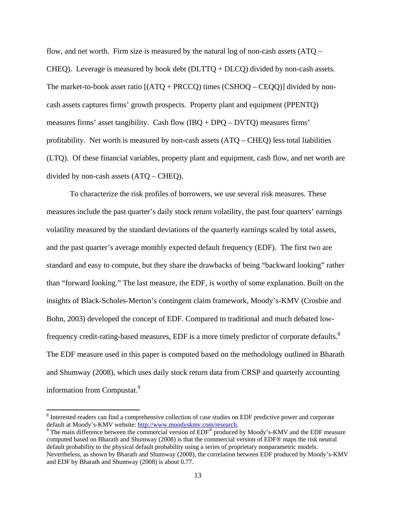flow, and net worth. Firm size is measured by the natural log of non-cash assets  $(ATQ -$ CHEQ). Leverage is measured by book debt  $(DLTTQ + DLCQ)$  divided by non-cash assets. The market-to-book asset ratio  $[(ATQ + PRCCQ)$  times  $(CSHOQ - CEQQ)]$  divided by noncash assets captures firms' growth prospects. Property plant and equipment (PPENTQ) measures firms' asset tangibility. Cash flow (IBQ + DPQ – DVTQ) measures firms' profitability. Net worth is measured by non-cash assets  $(ATQ - CHEQ)$  less total liabilities (LTQ). Of these financial variables, property plant and equipment, cash flow, and net worth are divided by non-cash assets (ATQ – CHEQ).

To characterize the risk profiles of borrowers, we use several risk measures. These measures include the past quarter's daily stock return volatility, the past four quarters' earnings volatility measured by the standard deviations of the quarterly earnings scaled by total assets, and the past quarter's average monthly expected default frequency (EDF). The first two are standard and easy to compute, but they share the drawbacks of being "backward looking" rather than "forward looking." The last measure, the EDF, is worthy of some explanation. Built on the insights of Black-Scholes-Merton's contingent claim framework, Moody's-KMV (Crosbie and Bohn, 2003) developed the concept of EDF. Compared to traditional and much debated lowfrequency credit-rating-based measures, EDF is a more timely predictor of corporate defaults.<sup>8</sup> The EDF measure used in this paper is computed based on the methodology outlined in Bharath and Shumway (2008), which uses daily stock return data from CRSP and quarterly accounting information from Compustat.<sup>9</sup>

<sup>&</sup>lt;sup>8</sup> Interested readers can find a comprehensive collection of case studies on EDF predictive power and corporate default at Moody's-KMV website: http://www.moodyskmv.com/research. 9

 $\degree$  The main difference between the commercial version of EDF $\degree$  produced by Moody's-KMV and the EDF measure computed based on Bharath and Shumway (2008) is that the commercial version of EDF® maps the risk neutral default probability to the physical default probability using a series of proprietary nonparametric models. Nevertheless, as shown by Bharath and Shumway (2008), the correlation between EDF produced by Moody's-KMV and EDF by Bharath and Shumway (2008) is about 0.77.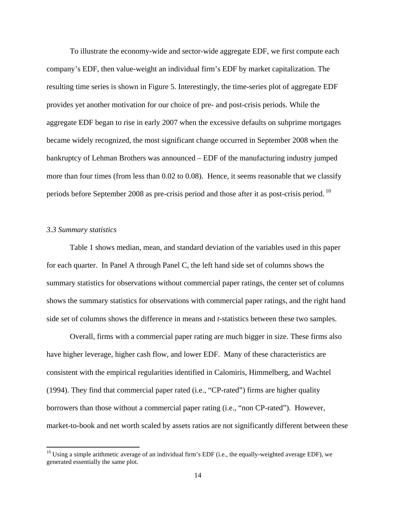To illustrate the economy-wide and sector-wide aggregate EDF, we first compute each company's EDF, then value-weight an individual firm's EDF by market capitalization. The resulting time series is shown in Figure 5. Interestingly, the time-series plot of aggregate EDF provides yet another motivation for our choice of pre- and post-crisis periods. While the aggregate EDF began to rise in early 2007 when the excessive defaults on subprime mortgages became widely recognized, the most significant change occurred in September 2008 when the bankruptcy of Lehman Brothers was announced – EDF of the manufacturing industry jumped more than four times (from less than 0.02 to 0.08). Hence, it seems reasonable that we classify periods before September 2008 as pre-crisis period and those after it as post-crisis period.<sup>10</sup>

#### *3.3 Summary statistics*

Table 1 shows median, mean, and standard deviation of the variables used in this paper for each quarter. In Panel A through Panel C, the left hand side set of columns shows the summary statistics for observations without commercial paper ratings, the center set of columns shows the summary statistics for observations with commercial paper ratings, and the right hand side set of columns shows the difference in means and *t*-statistics between these two samples.

Overall, firms with a commercial paper rating are much bigger in size. These firms also have higher leverage, higher cash flow, and lower EDF. Many of these characteristics are consistent with the empirical regularities identified in Calomiris, Himmelberg, and Wachtel (1994). They find that commercial paper rated (i.e., "CP-rated") firms are higher quality borrowers than those without a commercial paper rating (i.e., "non CP-rated"). However, market-to-book and net worth scaled by assets ratios are not significantly different between these

 $10$  Using a simple arithmetic average of an individual firm's EDF (i.e., the equally-weighted average EDF), we generated essentially the same plot.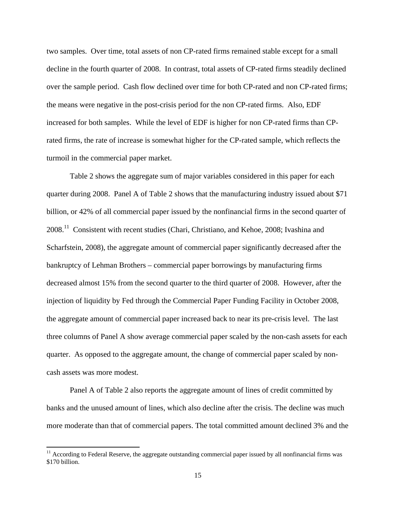two samples. Over time, total assets of non CP-rated firms remained stable except for a small decline in the fourth quarter of 2008. In contrast, total assets of CP-rated firms steadily declined over the sample period. Cash flow declined over time for both CP-rated and non CP-rated firms; the means were negative in the post-crisis period for the non CP-rated firms. Also, EDF increased for both samples. While the level of EDF is higher for non CP-rated firms than CPrated firms, the rate of increase is somewhat higher for the CP-rated sample, which reflects the turmoil in the commercial paper market.

Table 2 shows the aggregate sum of major variables considered in this paper for each quarter during 2008. Panel A of Table 2 shows that the manufacturing industry issued about \$71 billion, or 42% of all commercial paper issued by the nonfinancial firms in the second quarter of 2008.11 Consistent with recent studies (Chari, Christiano, and Kehoe, 2008; Ivashina and Scharfstein, 2008), the aggregate amount of commercial paper significantly decreased after the bankruptcy of Lehman Brothers – commercial paper borrowings by manufacturing firms decreased almost 15% from the second quarter to the third quarter of 2008. However, after the injection of liquidity by Fed through the Commercial Paper Funding Facility in October 2008, the aggregate amount of commercial paper increased back to near its pre-crisis level. The last three columns of Panel A show average commercial paper scaled by the non-cash assets for each quarter. As opposed to the aggregate amount, the change of commercial paper scaled by noncash assets was more modest.

Panel A of Table 2 also reports the aggregate amount of lines of credit committed by banks and the unused amount of lines, which also decline after the crisis. The decline was much more moderate than that of commercial papers. The total committed amount declined 3% and the

 $11$  According to Federal Reserve, the aggregate outstanding commercial paper issued by all nonfinancial firms was \$170 billion.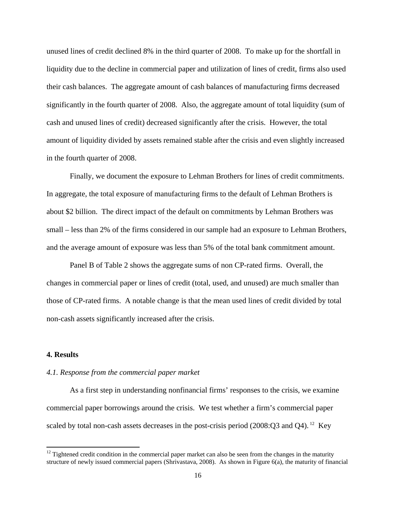unused lines of credit declined 8% in the third quarter of 2008. To make up for the shortfall in liquidity due to the decline in commercial paper and utilization of lines of credit, firms also used their cash balances. The aggregate amount of cash balances of manufacturing firms decreased significantly in the fourth quarter of 2008. Also, the aggregate amount of total liquidity (sum of cash and unused lines of credit) decreased significantly after the crisis. However, the total amount of liquidity divided by assets remained stable after the crisis and even slightly increased in the fourth quarter of 2008.

Finally, we document the exposure to Lehman Brothers for lines of credit commitments. In aggregate, the total exposure of manufacturing firms to the default of Lehman Brothers is about \$2 billion. The direct impact of the default on commitments by Lehman Brothers was small – less than 2% of the firms considered in our sample had an exposure to Lehman Brothers, and the average amount of exposure was less than 5% of the total bank commitment amount.

Panel B of Table 2 shows the aggregate sums of non CP-rated firms. Overall, the changes in commercial paper or lines of credit (total, used, and unused) are much smaller than those of CP-rated firms. A notable change is that the mean used lines of credit divided by total non-cash assets significantly increased after the crisis.

#### **4. Results**

#### *4.1. Response from the commercial paper market*

 As a first step in understanding nonfinancial firms' responses to the crisis, we examine commercial paper borrowings around the crisis. We test whether a firm's commercial paper scaled by total non-cash assets decreases in the post-crisis period  $(2008:Q3$  and Q4). <sup>12</sup> Key

 $12$  Tightened credit condition in the commercial paper market can also be seen from the changes in the maturity structure of newly issued commercial papers (Shrivastava, 2008). As shown in Figure 6(a), the maturity of financial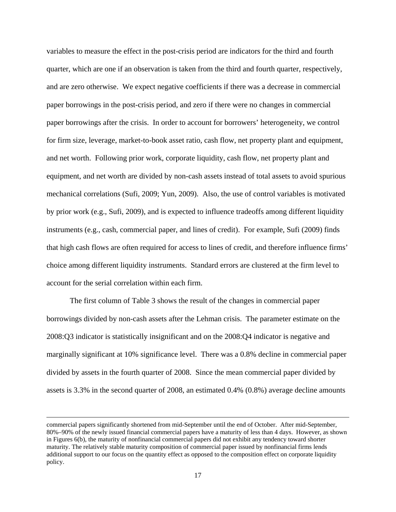variables to measure the effect in the post-crisis period are indicators for the third and fourth quarter, which are one if an observation is taken from the third and fourth quarter, respectively, and are zero otherwise. We expect negative coefficients if there was a decrease in commercial paper borrowings in the post-crisis period, and zero if there were no changes in commercial paper borrowings after the crisis. In order to account for borrowers' heterogeneity, we control for firm size, leverage, market-to-book asset ratio, cash flow, net property plant and equipment, and net worth. Following prior work, corporate liquidity, cash flow, net property plant and equipment, and net worth are divided by non-cash assets instead of total assets to avoid spurious mechanical correlations (Sufi, 2009; Yun, 2009). Also, the use of control variables is motivated by prior work (e.g., Sufi, 2009), and is expected to influence tradeoffs among different liquidity instruments (e.g., cash, commercial paper, and lines of credit). For example, Sufi (2009) finds that high cash flows are often required for access to lines of credit, and therefore influence firms' choice among different liquidity instruments. Standard errors are clustered at the firm level to account for the serial correlation within each firm.

The first column of Table 3 shows the result of the changes in commercial paper borrowings divided by non-cash assets after the Lehman crisis. The parameter estimate on the 2008:Q3 indicator is statistically insignificant and on the 2008:Q4 indicator is negative and marginally significant at 10% significance level. There was a 0.8% decline in commercial paper divided by assets in the fourth quarter of 2008. Since the mean commercial paper divided by assets is 3.3% in the second quarter of 2008, an estimated 0.4% (0.8%) average decline amounts

<u> 1989 - Johann Stein, marwolaethau a gweledydd a ganlad y ganlad y ganlad y ganlad y ganlad y ganlad y ganlad</u>

commercial papers significantly shortened from mid-September until the end of October. After mid-September, 80%–90% of the newly issued financial commercial papers have a maturity of less than 4 days. However, as shown in Figures 6(b), the maturity of nonfinancial commercial papers did not exhibit any tendency toward shorter maturity. The relatively stable maturity composition of commercial paper issued by nonfinancial firms lends additional support to our focus on the quantity effect as opposed to the composition effect on corporate liquidity policy.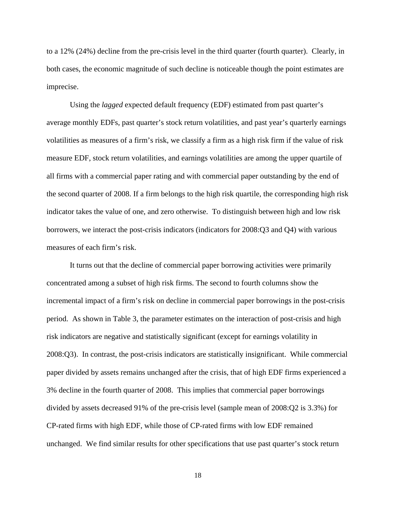to a 12% (24%) decline from the pre-crisis level in the third quarter (fourth quarter). Clearly, in both cases, the economic magnitude of such decline is noticeable though the point estimates are imprecise.

Using the *lagged* expected default frequency (EDF) estimated from past quarter's average monthly EDFs, past quarter's stock return volatilities, and past year's quarterly earnings volatilities as measures of a firm's risk, we classify a firm as a high risk firm if the value of risk measure EDF, stock return volatilities, and earnings volatilities are among the upper quartile of all firms with a commercial paper rating and with commercial paper outstanding by the end of the second quarter of 2008. If a firm belongs to the high risk quartile, the corresponding high risk indicator takes the value of one, and zero otherwise. To distinguish between high and low risk borrowers, we interact the post-crisis indicators (indicators for 2008:Q3 and Q4) with various measures of each firm's risk.

It turns out that the decline of commercial paper borrowing activities were primarily concentrated among a subset of high risk firms. The second to fourth columns show the incremental impact of a firm's risk on decline in commercial paper borrowings in the post-crisis period. As shown in Table 3, the parameter estimates on the interaction of post-crisis and high risk indicators are negative and statistically significant (except for earnings volatility in 2008:Q3). In contrast, the post-crisis indicators are statistically insignificant. While commercial paper divided by assets remains unchanged after the crisis, that of high EDF firms experienced a 3% decline in the fourth quarter of 2008. This implies that commercial paper borrowings divided by assets decreased 91% of the pre-crisis level (sample mean of 2008:Q2 is 3.3%) for CP-rated firms with high EDF, while those of CP-rated firms with low EDF remained unchanged. We find similar results for other specifications that use past quarter's stock return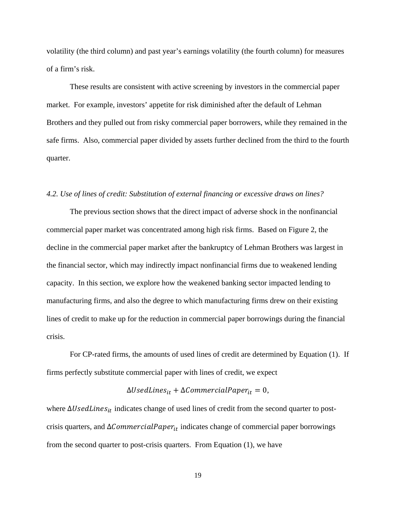volatility (the third column) and past year's earnings volatility (the fourth column) for measures of a firm's risk.

These results are consistent with active screening by investors in the commercial paper market. For example, investors' appetite for risk diminished after the default of Lehman Brothers and they pulled out from risky commercial paper borrowers, while they remained in the safe firms. Also, commercial paper divided by assets further declined from the third to the fourth quarter.

## *4.2. Use of lines of credit: Substitution of external financing or excessive draws on lines?*

 The previous section shows that the direct impact of adverse shock in the nonfinancial commercial paper market was concentrated among high risk firms. Based on Figure 2, the decline in the commercial paper market after the bankruptcy of Lehman Brothers was largest in the financial sector, which may indirectly impact nonfinancial firms due to weakened lending capacity. In this section, we explore how the weakened banking sector impacted lending to manufacturing firms, and also the degree to which manufacturing firms drew on their existing lines of credit to make up for the reduction in commercial paper borrowings during the financial crisis.

For CP-rated firms, the amounts of used lines of credit are determined by Equation (1). If firms perfectly substitute commercial paper with lines of credit, we expect

# $\Delta U$ sedLines $_{it} + \Delta$ CommercialPape $r_{it} = 0$ ,

where ∆UsedLines<sub>it</sub> indicates change of used lines of credit from the second quarter to postcrisis quarters, and ∆*CommercialPaper*<sub>it</sub> indicates change of commercial paper borrowings from the second quarter to post-crisis quarters. From Equation (1), we have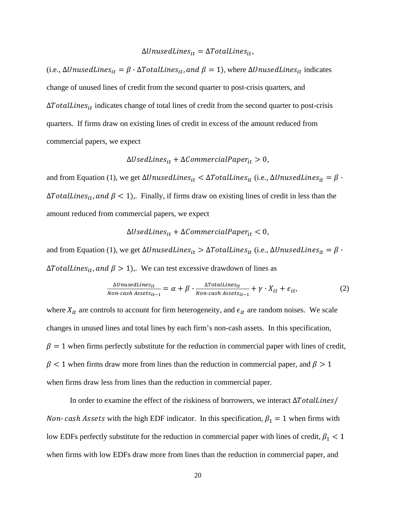### $\Delta$ UnusedLines<sub>it</sub> =  $\Delta$ TotalLines<sub>it</sub>,

(i.e.,  $\Delta UnusedLines_{it} = \beta \cdot \Delta TotalLines_{it}$ , and  $\beta = 1$ ), where  $\Delta UnusedLines_{it}$  indicates change of unused lines of credit from the second quarter to post-crisis quarters, and  $\Delta TotalLines_{it}$  indicates change of total lines of credit from the second quarter to post-crisis quarters. If firms draw on existing lines of credit in excess of the amount reduced from commercial papers, we expect

 $\Delta U$ sedLines $_{it} + \Delta$ CommercialPape $r_{it} > 0$ ,

and from Equation (1), we get  $\Delta UnusedLines_{it} < \Delta TotalLines_{it}$  (i.e.,  $\Delta UnusedLines_{it} = \beta$ .  $\Delta TotalLines_{it}$ , and  $\beta < 1$ ). Finally, if firms draw on existing lines of credit in less than the amount reduced from commercial papers, we expect

 $\Delta U$ sedLines $_{it} + \Delta$ CommercialPape $r_{it} < 0$ ,

and from Equation (1), we get  $\Delta UnusedLines_{it} > \Delta TotalLines_{it}$  (i.e.,  $\Delta UnusedLines_{it} = \beta$ .  $\Delta TotalLines_{it}$ , and  $\beta > 1$ ). We can test excessive drawdown of lines as

$$
\frac{\Delta UnusedLines_{it}}{Non-cash\,Assets_{it-1}} = \alpha + \beta \cdot \frac{\Delta TotalLines_{it}}{Non-cash\,Assets_{it-1}} + \gamma \cdot X_{it} + \epsilon_{it},\tag{2}
$$

where  $X_{it}$  are controls to account for firm heterogeneity, and  $\epsilon_{it}$  are random noises. We scale changes in unused lines and total lines by each firm's non-cash assets. In this specification,  $\beta = 1$  when firms perfectly substitute for the reduction in commercial paper with lines of credit,  $\beta$  < 1 when firms draw more from lines than the reduction in commercial paper, and  $\beta$  > 1 when firms draw less from lines than the reduction in commercial paper.

In order to examine the effect of the riskiness of borrowers, we interact ∆TotalLines/ *Non-cash Assets* with the high EDF indicator. In this specification,  $\beta_1 = 1$  when firms with low EDFs perfectly substitute for the reduction in commercial paper with lines of credit,  $\beta_1 < 1$ when firms with low EDFs draw more from lines than the reduction in commercial paper, and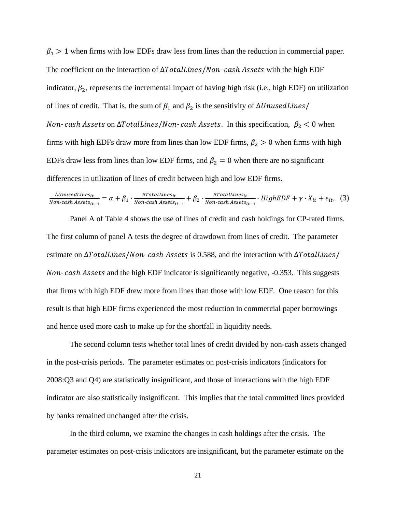$\beta_1 > 1$  when firms with low EDFs draw less from lines than the reduction in commercial paper. The coefficient on the interaction of  $\Delta \text{TotalLines} / \text{Non-cash}$  Assets with the high EDF indicator,  $\beta_2$ , represents the incremental impact of having high risk (i.e., high EDF) on utilization of lines of credit. That is, the sum of  $\beta_1$  and  $\beta_2$  is the sensitivity of ∆UnusedLines/ *Non-cash Assets* on Δ*TotalLines/Non-cash Assets.* In this specification,  $β<sub>2</sub> < 0$  when firms with high EDFs draw more from lines than low EDF firms,  $\beta_2 > 0$  when firms with high EDFs draw less from lines than low EDF firms, and  $\beta_2 = 0$  when there are no significant differences in utilization of lines of credit between high and low EDF firms.

$$
\frac{\Delta UnusedLines_{it}}{Non-cash\,Assets_{it-1}} = \alpha + \beta_1 \cdot \frac{\Delta TotalLines_{it}}{Non-cash\,Assets_{it-1}} + \beta_2 \cdot \frac{\Delta TotalLines_{it}}{Non-cash\,Assets_{it-1}} \cdot HighEDF + \gamma \cdot X_{it} + \epsilon_{it}, \tag{3}
$$

Panel A of Table 4 shows the use of lines of credit and cash holdings for CP-rated firms. The first column of panel A tests the degree of drawdown from lines of credit. The parameter estimate on  $\Delta \text{TotalLines} / \text{Non-cash Assets}$  is 0.588, and the interaction with  $\Delta \text{TotalLines} / \text{[Noh]}$ Non-cash Assets and the high EDF indicator is significantly negative, -0.353. This suggests that firms with high EDF drew more from lines than those with low EDF. One reason for this result is that high EDF firms experienced the most reduction in commercial paper borrowings and hence used more cash to make up for the shortfall in liquidity needs.

The second column tests whether total lines of credit divided by non-cash assets changed in the post-crisis periods. The parameter estimates on post-crisis indicators (indicators for 2008:Q3 and Q4) are statistically insignificant, and those of interactions with the high EDF indicator are also statistically insignificant. This implies that the total committed lines provided by banks remained unchanged after the crisis.

In the third column, we examine the changes in cash holdings after the crisis. The parameter estimates on post-crisis indicators are insignificant, but the parameter estimate on the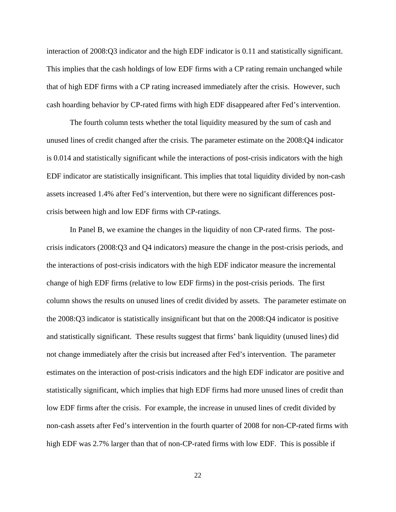interaction of 2008:Q3 indicator and the high EDF indicator is 0.11 and statistically significant. This implies that the cash holdings of low EDF firms with a CP rating remain unchanged while that of high EDF firms with a CP rating increased immediately after the crisis. However, such cash hoarding behavior by CP-rated firms with high EDF disappeared after Fed's intervention.

The fourth column tests whether the total liquidity measured by the sum of cash and unused lines of credit changed after the crisis. The parameter estimate on the 2008:Q4 indicator is 0.014 and statistically significant while the interactions of post-crisis indicators with the high EDF indicator are statistically insignificant. This implies that total liquidity divided by non-cash assets increased 1.4% after Fed's intervention, but there were no significant differences postcrisis between high and low EDF firms with CP-ratings.

In Panel B, we examine the changes in the liquidity of non CP-rated firms. The postcrisis indicators (2008:Q3 and Q4 indicators) measure the change in the post-crisis periods, and the interactions of post-crisis indicators with the high EDF indicator measure the incremental change of high EDF firms (relative to low EDF firms) in the post-crisis periods. The first column shows the results on unused lines of credit divided by assets. The parameter estimate on the 2008:Q3 indicator is statistically insignificant but that on the 2008:Q4 indicator is positive and statistically significant. These results suggest that firms' bank liquidity (unused lines) did not change immediately after the crisis but increased after Fed's intervention. The parameter estimates on the interaction of post-crisis indicators and the high EDF indicator are positive and statistically significant, which implies that high EDF firms had more unused lines of credit than low EDF firms after the crisis. For example, the increase in unused lines of credit divided by non-cash assets after Fed's intervention in the fourth quarter of 2008 for non-CP-rated firms with high EDF was 2.7% larger than that of non-CP-rated firms with low EDF. This is possible if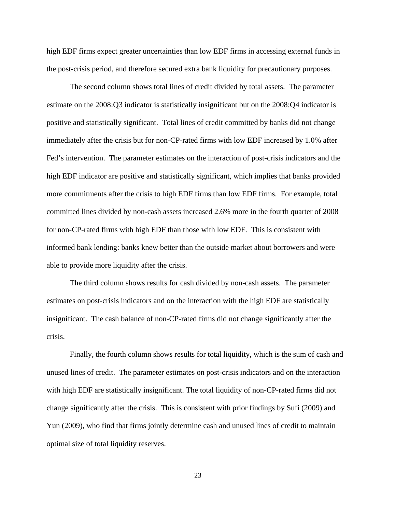high EDF firms expect greater uncertainties than low EDF firms in accessing external funds in the post-crisis period, and therefore secured extra bank liquidity for precautionary purposes.

The second column shows total lines of credit divided by total assets. The parameter estimate on the 2008:Q3 indicator is statistically insignificant but on the 2008:Q4 indicator is positive and statistically significant. Total lines of credit committed by banks did not change immediately after the crisis but for non-CP-rated firms with low EDF increased by 1.0% after Fed's intervention. The parameter estimates on the interaction of post-crisis indicators and the high EDF indicator are positive and statistically significant, which implies that banks provided more commitments after the crisis to high EDF firms than low EDF firms. For example, total committed lines divided by non-cash assets increased 2.6% more in the fourth quarter of 2008 for non-CP-rated firms with high EDF than those with low EDF. This is consistent with informed bank lending: banks knew better than the outside market about borrowers and were able to provide more liquidity after the crisis.

The third column shows results for cash divided by non-cash assets. The parameter estimates on post-crisis indicators and on the interaction with the high EDF are statistically insignificant. The cash balance of non-CP-rated firms did not change significantly after the crisis.

Finally, the fourth column shows results for total liquidity, which is the sum of cash and unused lines of credit. The parameter estimates on post-crisis indicators and on the interaction with high EDF are statistically insignificant. The total liquidity of non-CP-rated firms did not change significantly after the crisis. This is consistent with prior findings by Sufi (2009) and Yun (2009), who find that firms jointly determine cash and unused lines of credit to maintain optimal size of total liquidity reserves.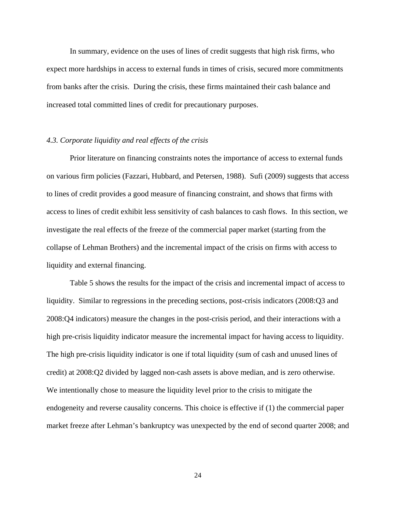In summary, evidence on the uses of lines of credit suggests that high risk firms, who expect more hardships in access to external funds in times of crisis, secured more commitments from banks after the crisis. During the crisis, these firms maintained their cash balance and increased total committed lines of credit for precautionary purposes.

## *4.3. Corporate liquidity and real effects of the crisis*

 Prior literature on financing constraints notes the importance of access to external funds on various firm policies (Fazzari, Hubbard, and Petersen, 1988). Sufi (2009) suggests that access to lines of credit provides a good measure of financing constraint, and shows that firms with access to lines of credit exhibit less sensitivity of cash balances to cash flows. In this section, we investigate the real effects of the freeze of the commercial paper market (starting from the collapse of Lehman Brothers) and the incremental impact of the crisis on firms with access to liquidity and external financing.

Table 5 shows the results for the impact of the crisis and incremental impact of access to liquidity. Similar to regressions in the preceding sections, post-crisis indicators (2008:Q3 and 2008:Q4 indicators) measure the changes in the post-crisis period, and their interactions with a high pre-crisis liquidity indicator measure the incremental impact for having access to liquidity. The high pre-crisis liquidity indicator is one if total liquidity (sum of cash and unused lines of credit) at 2008:Q2 divided by lagged non-cash assets is above median, and is zero otherwise. We intentionally chose to measure the liquidity level prior to the crisis to mitigate the endogeneity and reverse causality concerns. This choice is effective if (1) the commercial paper market freeze after Lehman's bankruptcy was unexpected by the end of second quarter 2008; and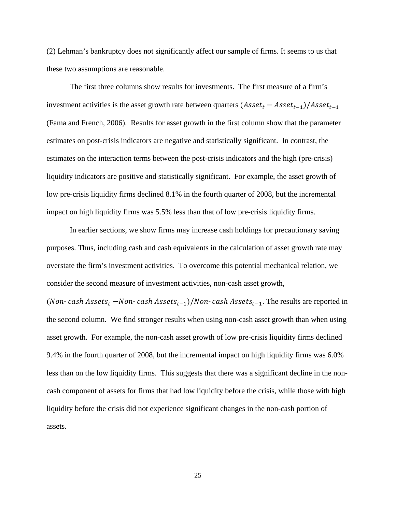(2) Lehman's bankruptcy does not significantly affect our sample of firms. It seems to us that these two assumptions are reasonable.

The first three columns show results for investments. The first measure of a firm's investment activities is the asset growth rate between quarters  $(Asset_t - Asset_{t-1})/Asset_{t-1}$ (Fama and French, 2006). Results for asset growth in the first column show that the parameter estimates on post-crisis indicators are negative and statistically significant. In contrast, the estimates on the interaction terms between the post-crisis indicators and the high (pre-crisis) liquidity indicators are positive and statistically significant. For example, the asset growth of low pre-crisis liquidity firms declined 8.1% in the fourth quarter of 2008, but the incremental impact on high liquidity firms was 5.5% less than that of low pre-crisis liquidity firms.

In earlier sections, we show firms may increase cash holdings for precautionary saving purposes. Thus, including cash and cash equivalents in the calculation of asset growth rate may overstate the firm's investment activities. To overcome this potential mechanical relation, we consider the second measure of investment activities, non-cash asset growth,

(Non- cash Assets<sub>t</sub> – Non- cash Assets<sub>t-1</sub>)/Non- cash Assets<sub>t-1</sub>. The results are reported in the second column. We find stronger results when using non-cash asset growth than when using asset growth. For example, the non-cash asset growth of low pre-crisis liquidity firms declined 9.4% in the fourth quarter of 2008, but the incremental impact on high liquidity firms was 6.0% less than on the low liquidity firms. This suggests that there was a significant decline in the noncash component of assets for firms that had low liquidity before the crisis, while those with high liquidity before the crisis did not experience significant changes in the non-cash portion of assets.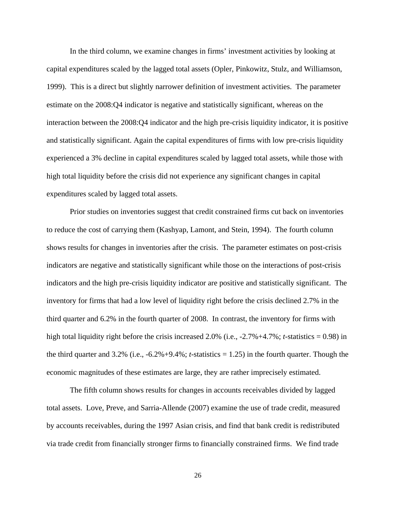In the third column, we examine changes in firms' investment activities by looking at capital expenditures scaled by the lagged total assets (Opler, Pinkowitz, Stulz, and Williamson, 1999). This is a direct but slightly narrower definition of investment activities. The parameter estimate on the 2008:Q4 indicator is negative and statistically significant, whereas on the interaction between the 2008:Q4 indicator and the high pre-crisis liquidity indicator, it is positive and statistically significant. Again the capital expenditures of firms with low pre-crisis liquidity experienced a 3% decline in capital expenditures scaled by lagged total assets, while those with high total liquidity before the crisis did not experience any significant changes in capital expenditures scaled by lagged total assets.

Prior studies on inventories suggest that credit constrained firms cut back on inventories to reduce the cost of carrying them (Kashyap, Lamont, and Stein, 1994). The fourth column shows results for changes in inventories after the crisis. The parameter estimates on post-crisis indicators are negative and statistically significant while those on the interactions of post-crisis indicators and the high pre-crisis liquidity indicator are positive and statistically significant. The inventory for firms that had a low level of liquidity right before the crisis declined 2.7% in the third quarter and 6.2% in the fourth quarter of 2008. In contrast, the inventory for firms with high total liquidity right before the crisis increased 2.0% (i.e., -2.7%+4.7%; *t*-statistics = 0.98) in the third quarter and 3.2% (i.e., -6.2%+9.4%; *t*-statistics = 1.25) in the fourth quarter. Though the economic magnitudes of these estimates are large, they are rather imprecisely estimated.

The fifth column shows results for changes in accounts receivables divided by lagged total assets. Love, Preve, and Sarria-Allende (2007) examine the use of trade credit, measured by accounts receivables, during the 1997 Asian crisis, and find that bank credit is redistributed via trade credit from financially stronger firms to financially constrained firms. We find trade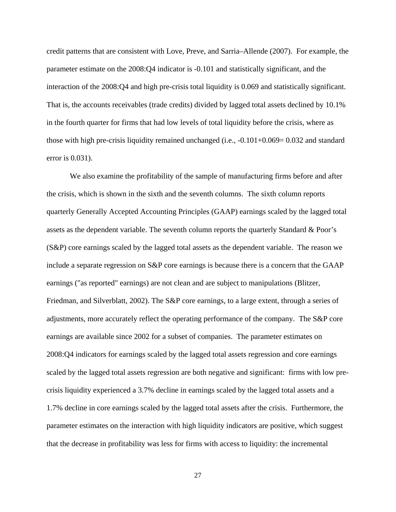credit patterns that are consistent with Love, Preve, and Sarria–Allende (2007). For example, the parameter estimate on the 2008:Q4 indicator is -0.101 and statistically significant, and the interaction of the 2008:Q4 and high pre-crisis total liquidity is 0.069 and statistically significant. That is, the accounts receivables (trade credits) divided by lagged total assets declined by 10.1% in the fourth quarter for firms that had low levels of total liquidity before the crisis, where as those with high pre-crisis liquidity remained unchanged (i.e., -0.101+0.069= 0.032 and standard error is 0.031).

We also examine the profitability of the sample of manufacturing firms before and after the crisis, which is shown in the sixth and the seventh columns. The sixth column reports quarterly Generally Accepted Accounting Principles (GAAP) earnings scaled by the lagged total assets as the dependent variable. The seventh column reports the quarterly Standard & Poor's (S&P) core earnings scaled by the lagged total assets as the dependent variable. The reason we include a separate regression on S&P core earnings is because there is a concern that the GAAP earnings ("as reported" earnings) are not clean and are subject to manipulations (Blitzer, Friedman, and Silverblatt, 2002). The S&P core earnings, to a large extent, through a series of adjustments, more accurately reflect the operating performance of the company. The S&P core earnings are available since 2002 for a subset of companies. The parameter estimates on 2008:Q4 indicators for earnings scaled by the lagged total assets regression and core earnings scaled by the lagged total assets regression are both negative and significant: firms with low precrisis liquidity experienced a 3.7% decline in earnings scaled by the lagged total assets and a 1.7% decline in core earnings scaled by the lagged total assets after the crisis. Furthermore, the parameter estimates on the interaction with high liquidity indicators are positive, which suggest that the decrease in profitability was less for firms with access to liquidity: the incremental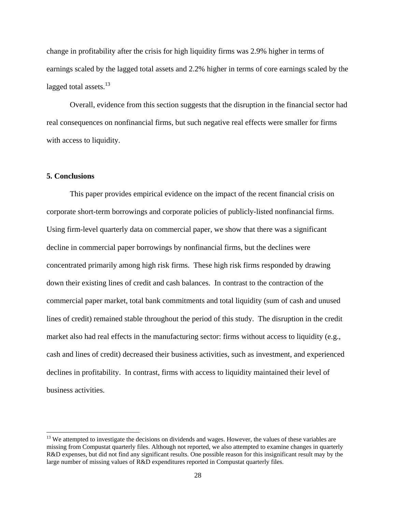change in profitability after the crisis for high liquidity firms was 2.9% higher in terms of earnings scaled by the lagged total assets and 2.2% higher in terms of core earnings scaled by the lagged total assets. $13$ 

Overall, evidence from this section suggests that the disruption in the financial sector had real consequences on nonfinancial firms, but such negative real effects were smaller for firms with access to liquidity.

## **5. Conclusions**

This paper provides empirical evidence on the impact of the recent financial crisis on corporate short-term borrowings and corporate policies of publicly-listed nonfinancial firms. Using firm-level quarterly data on commercial paper, we show that there was a significant decline in commercial paper borrowings by nonfinancial firms, but the declines were concentrated primarily among high risk firms. These high risk firms responded by drawing down their existing lines of credit and cash balances. In contrast to the contraction of the commercial paper market, total bank commitments and total liquidity (sum of cash and unused lines of credit) remained stable throughout the period of this study. The disruption in the credit market also had real effects in the manufacturing sector: firms without access to liquidity (e.g., cash and lines of credit) decreased their business activities, such as investment, and experienced declines in profitability. In contrast, firms with access to liquidity maintained their level of business activities.

<sup>&</sup>lt;sup>13</sup> We attempted to investigate the decisions on dividends and wages. However, the values of these variables are missing from Compustat quarterly files. Although not reported, we also attempted to examine changes in quarterly R&D expenses, but did not find any significant results. One possible reason for this insignificant result may by the large number of missing values of R&D expenditures reported in Compustat quarterly files.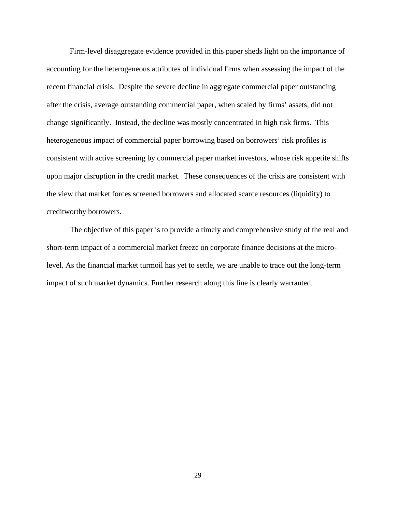Firm-level disaggregate evidence provided in this paper sheds light on the importance of accounting for the heterogeneous attributes of individual firms when assessing the impact of the recent financial crisis. Despite the severe decline in aggregate commercial paper outstanding after the crisis, average outstanding commercial paper, when scaled by firms' assets, did not change significantly. Instead, the decline was mostly concentrated in high risk firms. This heterogeneous impact of commercial paper borrowing based on borrowers' risk profiles is consistent with active screening by commercial paper market investors, whose risk appetite shifts upon major disruption in the credit market. These consequences of the crisis are consistent with the view that market forces screened borrowers and allocated scarce resources (liquidity) to creditworthy borrowers.

The objective of this paper is to provide a timely and comprehensive study of the real and short-term impact of a commercial market freeze on corporate finance decisions at the microlevel. As the financial market turmoil has yet to settle, we are unable to trace out the long-term impact of such market dynamics. Further research along this line is clearly warranted.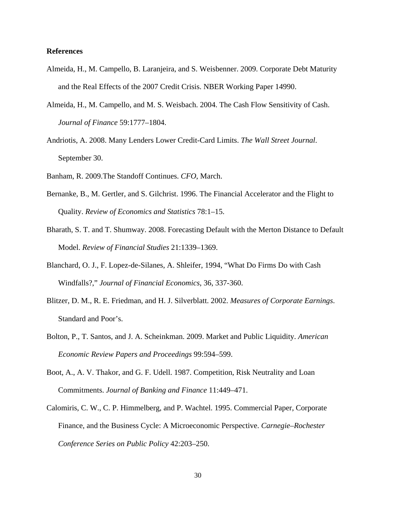## **References**

- Almeida, H., M. Campello, B. Laranjeira, and S. Weisbenner. 2009. Corporate Debt Maturity and the Real Effects of the 2007 Credit Crisis. NBER Working Paper 14990.
- Almeida, H., M. Campello, and M. S. Weisbach. 2004. The Cash Flow Sensitivity of Cash. *Journal of Finance* 59:1777–1804.
- Andriotis, A. 2008. Many Lenders Lower Credit-Card Limits. *The Wall Street Journal*. September 30.
- Banham, R. 2009.The Standoff Continues. *CFO*, March.
- Bernanke, B., M. Gertler, and S. Gilchrist. 1996. The Financial Accelerator and the Flight to Quality. *Review of Economics and Statistics* 78:1–15.
- Bharath, S. T. and T. Shumway. 2008. Forecasting Default with the Merton Distance to Default Model. *Review of Financial Studies* 21:1339–1369.
- Blanchard, O. J., F. Lopez-de-Silanes, A. Shleifer, 1994, "What Do Firms Do with Cash Windfalls?," *Journal of Financial Economics*, 36, 337-360.
- Blitzer, D. M., R. E. Friedman, and H. J. Silverblatt. 2002. *Measures of Corporate Earnings*. Standard and Poor's.
- Bolton, P., T. Santos, and J. A. Scheinkman. 2009. Market and Public Liquidity. *American Economic Review Papers and Proceedings* 99:594–599.
- Boot, A., A. V. Thakor, and G. F. Udell. 1987. Competition, Risk Neutrality and Loan Commitments. *Journal of Banking and Finance* 11:449–471.
- Calomiris, C. W., C. P. Himmelberg, and P. Wachtel. 1995. Commercial Paper, Corporate Finance, and the Business Cycle: A Microeconomic Perspective. *Carnegie–Rochester Conference Series on Public Policy* 42:203–250.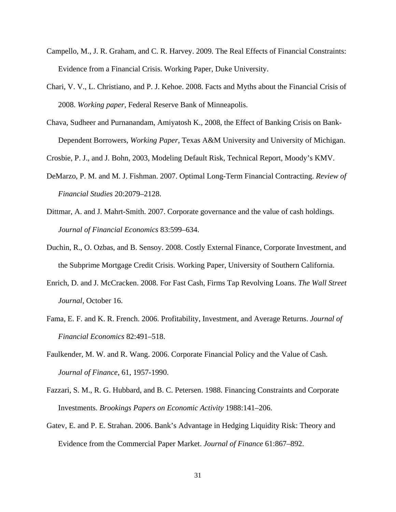- Campello, M., J. R. Graham, and C. R. Harvey. 2009. The Real Effects of Financial Constraints: Evidence from a Financial Crisis. Working Paper, Duke University.
- Chari, V. V., L. Christiano, and P. J. Kehoe. 2008. Facts and Myths about the Financial Crisis of 2008. *Working paper*, Federal Reserve Bank of Minneapolis.
- Chava, Sudheer and Purnanandam, Amiyatosh K., 2008, the Effect of Banking Crisis on Bank-Dependent Borrowers, *Working Paper*, Texas A&M University and University of Michigan.

Crosbie, P. J., and J. Bohn, 2003, Modeling Default Risk, Technical Report, Moody's KMV.

- DeMarzo, P. M. and M. J. Fishman. 2007. Optimal Long-Term Financial Contracting. *Review of Financial Studies* 20:2079–2128.
- Dittmar, A. and J. Mahrt-Smith. 2007. Corporate governance and the value of cash holdings. *Journal of Financial Economics* 83:599–634.
- Duchin, R., O. Ozbas, and B. Sensoy. 2008. Costly External Finance, Corporate Investment, and the Subprime Mortgage Credit Crisis. Working Paper, University of Southern California.
- Enrich, D. and J. McCracken. 2008. For Fast Cash, Firms Tap Revolving Loans. *The Wall Street Journal*, October 16.
- Fama, E. F. and K. R. French. 2006. Profitability, Investment, and Average Returns. *Journal of Financial Economics* 82:491–518.
- Faulkender, M. W. and R. Wang. 2006. Corporate Financial Policy and the Value of Cash. *Journal of Finance*, 61, 1957-1990.
- Fazzari, S. M., R. G. Hubbard, and B. C. Petersen. 1988. Financing Constraints and Corporate Investments. *Brookings Papers on Economic Activity* 1988:141–206.
- Gatev, E. and P. E. Strahan. 2006. Bank's Advantage in Hedging Liquidity Risk: Theory and Evidence from the Commercial Paper Market. *Journal of Finance* 61:867–892.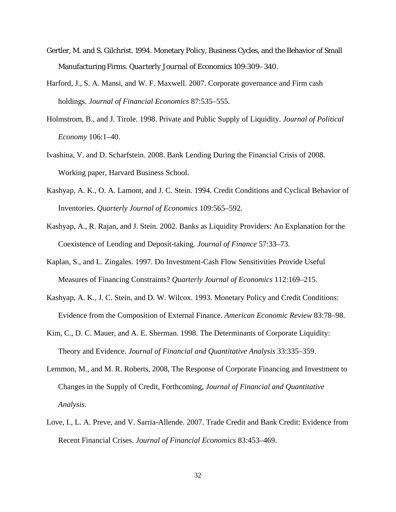- Gertler, M. and S. Gilchrist. 1994. Monetary Policy, Business Cycles, and the Behavior of Small Manufacturing Firms. *Quarterly Journal of Economics* 109:309–340.
- Harford, J., S. A. Mansi, and W. F. Maxwell. 2007. Corporate governance and Firm cash holdings. *Journal of Financial Economics* 87:535–555.
- Holmstrom, B., and J. Tirole. 1998. Private and Public Supply of Liquidity. *Journal of Political Economy* 106:1–40.
- Ivashina, V. and D. Scharfstein. 2008. Bank Lending During the Financial Crisis of 2008. Working paper, Harvard Business School.
- Kashyap, A. K., O. A. Lamont, and J. C. Stein. 1994. Credit Conditions and Cyclical Behavior of Inventories. *Quarterly Journal of Economics* 109:565–592.
- Kashyap, A., R. Rajan, and J. Stein. 2002. Banks as Liquidity Providers: An Explanation for the Coexistence of Lending and Deposit-taking. *Journal of Finance* 57:33–73.
- Kaplan, S., and L. Zingales. 1997. Do Investment-Cash Flow Sensitivities Provide Useful Measures of Financing Constraints? *Quarterly Journal of Economics* 112:169–215.
- Kashyap, A. K., J. C. Stein, and D. W. Wilcox. 1993. Monetary Policy and Credit Conditions: Evidence from the Composition of External Finance. *American Economic Review* 83:78–98.
- Kim, C., D. C. Mauer, and A. E. Sherman. 1998. The Determinants of Corporate Liquidity: Theory and Evidence. *Journal of Financial and Quantitative Analysis* 33:335–359.
- Lemmon, M., and M. R. Roberts, 2008, The Response of Corporate Financing and Investment to Changes in the Supply of Credit, Forthcoming, *Journal of Financial and Quantitative Analysis*.
- Love, I., L. A. Preve, and V. Sarria-Allende. 2007. Trade Credit and Bank Credit: Evidence from Recent Financial Crises. *Journal of Financial Economics* 83:453–469.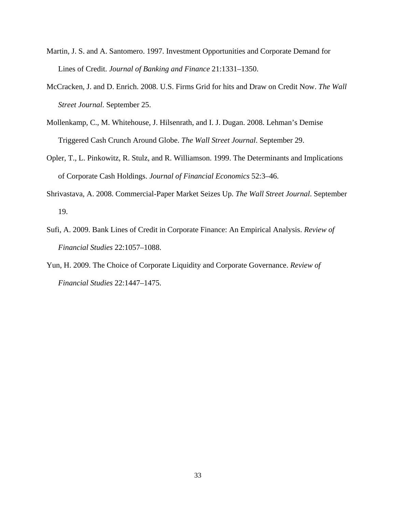- Martin, J. S. and A. Santomero. 1997. Investment Opportunities and Corporate Demand for Lines of Credit. *Journal of Banking and Finance* 21:1331–1350.
- McCracken, J. and D. Enrich. 2008. U.S. Firms Grid for hits and Draw on Credit Now. *The Wall Street Journal*. September 25.
- Mollenkamp, C., M. Whitehouse, J. Hilsenrath, and I. J. Dugan. 2008. Lehman's Demise Triggered Cash Crunch Around Globe. *The Wall Street Journal*. September 29.
- Opler, T., L. Pinkowitz, R. Stulz, and R. Williamson. 1999. The Determinants and Implications of Corporate Cash Holdings. *Journal of Financial Economics* 52:3–46.
- Shrivastava, A. 2008. Commercial-Paper Market Seizes Up. *The Wall Street Journal*. September 19.
- Sufi, A. 2009. Bank Lines of Credit in Corporate Finance: An Empirical Analysis. *Review of Financial Studies* 22:1057–1088.
- Yun, H. 2009. The Choice of Corporate Liquidity and Corporate Governance. *Review of Financial Studies* 22:1447–1475.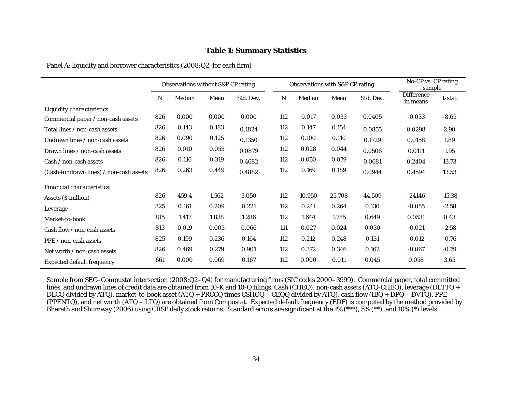### **Table 1: Summary Statistics**

Panel A: liquidity and borrower characteristics (2008:Q2, for each firm)

|                                        |     | Observations without S&P CP rating |       |           |     | Observations with S&P CP rating |        |           | No-CP vs. CP rating<br>sample |          |
|----------------------------------------|-----|------------------------------------|-------|-----------|-----|---------------------------------|--------|-----------|-------------------------------|----------|
|                                        | N   | Median                             | Mean  | Std. Dev. | N   | Median                          | Mean   | Std. Dev. | <b>Difference</b><br>in means | t-stat   |
| Liquidity characteristics:             |     |                                    |       |           |     |                                 |        |           |                               |          |
| Commercial paper / non-cash assets     | 826 | 0.000                              | 0.000 | 0.000     | 112 | 0.017                           | 0.033  | 0.0405    | $-0.033$                      | $-8.65$  |
| Total lines / non-cash assets          | 826 | 0.143                              | 0.183 | 0.1824    | 112 | 0.147                           | 0.154  | 0.0855    | 0.0298                        | 2.90     |
| Undrawn lines / non-cash assets        | 826 | 0.090                              | 0.125 | 0.1350    | 112 | 0.100                           | 0.110  | 0.1729    | 0.0158                        | 1.89     |
| Drawn lines / non-cash assets          | 826 | 0.010                              | 0.055 | 0.0879    | 112 | 0.028                           | 0.044  | 0.0506    | 0.0111                        | 1.95     |
| Cash / non-cash assets                 | 826 | 0.116                              | 0.319 | 0.4682    | 112 | 0.050                           | 0.079  | 0.0681    | 0.2404                        | 13.73    |
| (Cash+undrawn lines) / non-cash assets | 826 | 0.263                              | 0.449 | 0.4882    | 112 | 0.169                           | 0.189  | 0.0944    | 0.4594                        | 13.53    |
| Financial characteristics:             |     |                                    |       |           |     |                                 |        |           |                               |          |
| Assets (\$ million)                    | 826 | 459.4                              | 1,562 | 3,050     | 112 | 10,950                          | 25,708 | 44,509    | $-24146$                      | $-15.38$ |
| Leverage                               | 825 | 0.161                              | 0.209 | 0.221     | 112 | 0.241                           | 0.264  | 0.130     | $-0.055$                      | $-2.58$  |
| Market-to-book                         | 815 | 1.417                              | 1.838 | 1.286     | 112 | 1.644                           | 1.785  | 0.649     | 0.0531                        | 0.43     |
| Cash flow / non-cash assets            | 813 | 0.019                              | 0.003 | 0.066     | 111 | 0.027                           | 0.024  | 0.030     | $-0.021$                      | $-2.58$  |
| PPE / non-cash assets                  | 825 | 0.199                              | 0.236 | 0.164     | 112 | 0.212                           | 0.248  | 0.131     | $-0.012$                      | $-0.76$  |
| Net worth / non-cash assets            | 826 | 0.469                              | 0.279 | 0.901     | 112 | 0.372                           | 0.346  | 0.162     | $-0.067$                      | $-0.79$  |
| <b>Expected default frequency</b>      | 661 | 0.000                              | 0.069 | 0.167     | 112 | 0.000                           | 0.011  | 0.045     | 0.058                         | 3.65     |

Sample from SEC–Compustat intersection (2008:Q2–Q4) for manufacturing firms (SIC codes 2000–3999). Commercial paper, total committed lines, and undrawn lines of credit data are obtained from 10-K and 10-Q filings. Cash (CHEQ), non-cash assets (ATQ-CHEQ), leverage (DLTTQ + DLCQ divided by ATQ), market-to-book asset (ATQ + PRCCQ times CSHOQ – CEQQ divided by ATQ), cash flow (IBQ + DPQ – DVTQ), PPE (PPENTQ), and net worth (ATQ – LTQ) are obtained from Compustat. Expected default frequency (EDF) is computed by the method provided by Bharath and Shumway (2006) using CRSP daily stock returns. Standard errors are significant at the 1% (\*\*\*), 5% (\*\*), and 10% (\*) levels.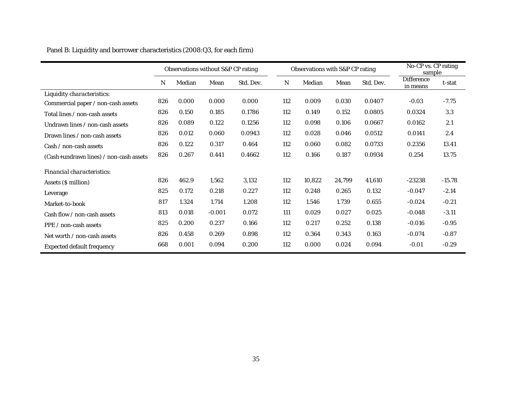|                                        | Observations without S&P CP rating |        |          |           | Observations with S&P CP rating |        | $\overline{\text{No-CP vs. }}$ CP rating<br>sample |           |                               |          |
|----------------------------------------|------------------------------------|--------|----------|-----------|---------------------------------|--------|----------------------------------------------------|-----------|-------------------------------|----------|
|                                        | N                                  | Median | Mean     | Std. Dev. | N                               | Median | Mean                                               | Std. Dev. | <b>Difference</b><br>in means | t-stat   |
| Liquidity characteristics:             |                                    |        |          |           |                                 |        |                                                    |           |                               |          |
| Commercial paper / non-cash assets     | 826                                | 0.000  | 0.000    | 0.000     | 112                             | 0.009  | 0.030                                              | 0.0407    | $-0.03$                       | $-7.75$  |
| Total lines / non-cash assets          | 826                                | 0.150  | 0.185    | 0.1786    | 112                             | 0.149  | 0.152                                              | 0.0805    | 0.0324                        | 3.3      |
| Undrawn lines / non-cash assets        | 826                                | 0.089  | 0.122    | 0.1256    | 112                             | 0.098  | 0.106                                              | 0.0667    | 0.0162                        | 2.1      |
| Drawn lines / non-cash assets          | 826                                | 0.012  | 0.060    | 0.0943    | 112                             | 0.028  | 0.046                                              | 0.0512    | 0.0141                        | 2.4      |
| Cash / non-cash assets                 | 826                                | 0.122  | 0.317    | 0.464     | 112                             | 0.060  | 0.082                                              | 0.0733    | 0.2356                        | 13.41    |
| (Cash+undrawn lines) / non-cash assets | 826                                | 0.267  | 0.441    | 0.4662    | 112                             | 0.166  | 0.187                                              | 0.0934    | 0.254                         | 13.75    |
| Financial characteristics:             |                                    |        |          |           |                                 |        |                                                    |           |                               |          |
| Assets (\$ million)                    | 826                                | 462.9  | 1,562    | 3,132     | 112                             | 10,822 | 24,799                                             | 41,610    | $-23238$                      | $-15.78$ |
| Leverage                               | 825                                | 0.172  | 0.218    | 0.227     | 112                             | 0.248  | 0.265                                              | 0.132     | $-0.047$                      | $-2.14$  |
| Market-to-book                         | 817                                | 1.324  | 1.714    | 1.208     | 112                             | 1.546  | 1.739                                              | 0.655     | $-0.024$                      | $-0.21$  |
| Cash flow / non-cash assets            | 813                                | 0.018  | $-0.001$ | 0.072     | 111                             | 0.029  | 0.027                                              | 0.025     | $-0.048$                      | $-3.11$  |
| PPE / non-cash assets                  | 825                                | 0.200  | 0.237    | 0.166     | 112                             | 0.217  | 0.252                                              | 0.138     | $-0.016$                      | $-0.95$  |
| Net worth / non-cash assets            | 826                                | 0.458  | 0.269    | 0.898     | 112                             | 0.364  | 0.343                                              | 0.163     | $-0.074$                      | $-0.87$  |
| <b>Expected default frequency</b>      | 668                                | 0.001  | 0.094    | 0.200     | 112                             | 0.000  | 0.024                                              | 0.094     | $-0.01$                       | $-0.29$  |

Panel B: Liquidity and borrower characteristics (2008:Q3, for each firm)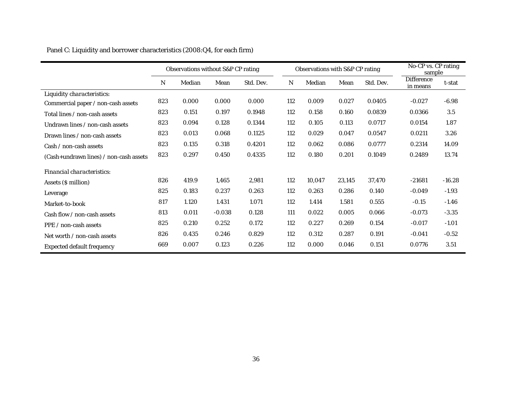|                                        | Observations without S&P CP rating |        |          |           | Observations with S&P CP rating |        |        |           | $\overline{No}$ -CP vs. CP rating<br>sample |          |
|----------------------------------------|------------------------------------|--------|----------|-----------|---------------------------------|--------|--------|-----------|---------------------------------------------|----------|
|                                        | N                                  | Median | Mean     | Std. Dev. | N                               | Median | Mean   | Std. Dev. | <b>Difference</b><br>in means               | t-stat   |
| Liquidity characteristics:             |                                    |        |          |           |                                 |        |        |           |                                             |          |
| Commercial paper / non-cash assets     | 823                                | 0.000  | 0.000    | 0.000     | 112                             | 0.009  | 0.027  | 0.0405    | $-0.027$                                    | $-6.98$  |
| Total lines / non-cash assets          | 823                                | 0.151  | 0.197    | 0.1948    | 112                             | 0.158  | 0.160  | 0.0839    | 0.0366                                      | 3.5      |
| Undrawn lines / non-cash assets        | 823                                | 0.094  | 0.128    | 0.1344    | 112                             | 0.105  | 0.113  | 0.0717    | 0.0154                                      | 1.87     |
| Drawn lines / non-cash assets          | 823                                | 0.013  | 0.068    | 0.1125    | 112                             | 0.029  | 0.047  | 0.0547    | 0.0211                                      | 3.26     |
| Cash / non-cash assets                 | 823                                | 0.135  | 0.318    | 0.4201    | 112                             | 0.062  | 0.086  | 0.0777    | 0.2314                                      | 14.09    |
| (Cash+undrawn lines) / non-cash assets | 823                                | 0.297  | 0.450    | 0.4335    | 112                             | 0.180  | 0.201  | 0.1049    | 0.2489                                      | 13.74    |
| Financial characteristics:             |                                    |        |          |           |                                 |        |        |           |                                             |          |
| Assets (\$ million)                    | 826                                | 419.9  | 1,465    | 2,981     | 112                             | 10,047 | 23,145 | 37,470    | $-21681$                                    | $-16.28$ |
| Leverage                               | 825                                | 0.183  | 0.237    | 0.263     | 112                             | 0.263  | 0.286  | 0.140     | $-0.049$                                    | $-1.93$  |
| Market-to-book                         | 817                                | 1.120  | 1.431    | 1.071     | 112                             | 1.414  | 1.581  | 0.555     | $-0.15$                                     | $-1.46$  |
| Cash flow / non-cash assets            | 813                                | 0.011  | $-0.038$ | 0.128     | 111                             | 0.022  | 0.005  | 0.066     | $-0.073$                                    | $-3.35$  |
| PPE / non-cash assets                  | 825                                | 0.210  | 0.252    | 0.172     | 112                             | 0.227  | 0.269  | 0.154     | $-0.017$                                    | $-1.01$  |
| Net worth / non-cash assets            | 826                                | 0.435  | 0.246    | 0.829     | 112                             | 0.312  | 0.287  | 0.191     | $-0.041$                                    | $-0.52$  |
| <b>Expected default frequency</b>      | 669                                | 0.007  | 0.123    | 0.226     | 112                             | 0.000  | 0.046  | 0.151     | 0.0776                                      | 3.51     |

Panel C: Liquidity and borrower characteristics (2008:Q4, for each firm)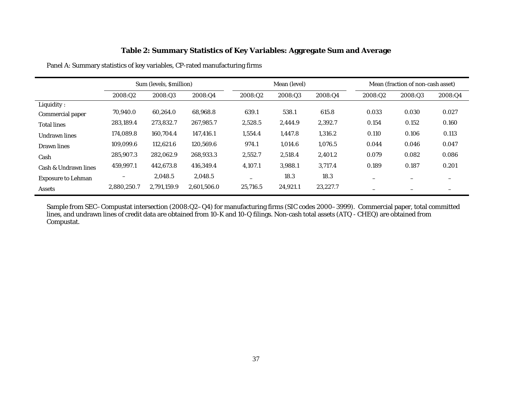# **Table 2: Summary Statistics of Key Variables: Aggregate Sum and Average**

Panel A: Summary statistics of key variables, CP-rated manufacturing firms

|                           |                          | Sum (levels, \$million) |             |                          | Mean (level) |          |                          |         | Mean (fraction of non-cash asset) |  |  |
|---------------------------|--------------------------|-------------------------|-------------|--------------------------|--------------|----------|--------------------------|---------|-----------------------------------|--|--|
|                           | 2008:02                  | 2008:Q3                 | 2008:Q4     | 2008:Q2                  | 2008:Q3      | 2008:Q4  | 2008:Q2                  | 2008:Q3 | 2008:04                           |  |  |
| Liquidity:                |                          |                         |             |                          |              |          |                          |         |                                   |  |  |
| Commercial paper          | 70,940.0                 | 60,264.0                | 68,968.8    | 639.1                    | 538.1        | 615.8    | 0.033                    | 0.030   | 0.027                             |  |  |
| <b>Total lines</b>        | 283,189.4                | 273,832.7               | 267,985.7   | 2,528.5                  | 2,444.9      | 2,392.7  | 0.154                    | 0.152   | 0.160                             |  |  |
| Undrawn lines             | 174.089.8                | 160.704.4               | 147.416.1   | 1,554.4                  | 1,447.8      | 1,316.2  | 0.110                    | 0.106   | 0.113                             |  |  |
| Drawn lines               | 109,099.6                | 112,621.6               | 120,569.6   | 974.1                    | 1,014.6      | 1,076.5  | 0.044                    | 0.046   | 0.047                             |  |  |
| Cash                      | 285,907.3                | 282,062.9               | 268,933.3   | 2,552.7                  | 2,518.4      | 2,401.2  | 0.079                    | 0.082   | 0.086                             |  |  |
| Cash & Undrawn lines      | 459,997.1                | 442,673.8               | 416.349.4   | 4,107.1                  | 3,988.1      | 3,717.4  | 0.189                    | 0.187   | 0.201                             |  |  |
| <b>Exposure to Lehman</b> | $\overline{\phantom{0}}$ | 2,048.5                 | 2,048.5     | $\overline{\phantom{0}}$ | 18.3         | 18.3     |                          |         | $\overline{\phantom{0}}$          |  |  |
| <b>Assets</b>             | 2,880,250.7              | 2,791,159.9             | 2,601,506.0 | 25,716.5                 | 24,921.1     | 23,227.7 | $\overline{\phantom{m}}$ |         | $\overline{\phantom{0}}$          |  |  |

Sample from SEC–Compustat intersection (2008:Q2–Q4) for manufacturing firms (SIC codes 2000–3999). Commercial paper, total committed lines, and undrawn lines of credit data are obtained from 10-K and 10-Q filings. Non-cash total assets (ATQ - CHEQ) are obtained from Compustat.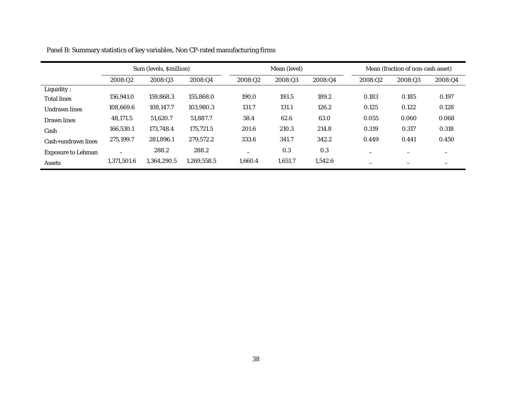|                           |                          | Sum (levels, \$million) |             |                          | Mean (level) |         |         | Mean (fraction of non-cash asset) |         |  |  |
|---------------------------|--------------------------|-------------------------|-------------|--------------------------|--------------|---------|---------|-----------------------------------|---------|--|--|
|                           | 2008:02                  | 2008:03                 | 2008:04     | 2008:Q2                  | 2008:Q3      | 2008:Q4 | 2008:02 | 2008:03                           | 2008:Q4 |  |  |
| Liquidity:                |                          |                         |             |                          |              |         |         |                                   |         |  |  |
| <b>Total lines</b>        | 156,941.0                | 159.868.3               | 155,868.0   | 190.0                    | 193.5        | 189.2   | 0.183   | 0.185                             | 0.197   |  |  |
| <b>Undrawn lines</b>      | 108.669.6                | 108.147.7               | 103.980.3   | 131.7                    | 131.1        | 126.2   | 0.125   | 0.122                             | 0.128   |  |  |
| Drawn lines               | 48,171.5                 | 51.620.7                | 51.887.7    | 58.4                     | 62.6         | 63.0    | 0.055   | 0.060                             | 0.068   |  |  |
| Cash                      | 166.530.1                | 173.748.4               | 175,721.5   | 201.6                    | 210.3        | 214.8   | 0.319   | 0.317                             | 0.318   |  |  |
| Cash+undrawn lines        | 275,199.7                | 281,896.1               | 279,572.2   | 333.6                    | 341.7        | 342.2   | 0.449   | 0.441                             | 0.450   |  |  |
| <b>Exposure to Lehman</b> | $\overline{\phantom{0}}$ | 288.2                   | 288.2       | $\overline{\phantom{0}}$ | 0.3          | 0.3     | -       |                                   | -       |  |  |
| <b>Assets</b>             | 1,371,501.6              | 1.364.290.5             | 1,269,558.5 | 1.660.4                  | 1,651.7      | 1,542.6 |         |                                   | -       |  |  |

Panel B: Summary statistics of key variables, Non CP-rated manufacturing firms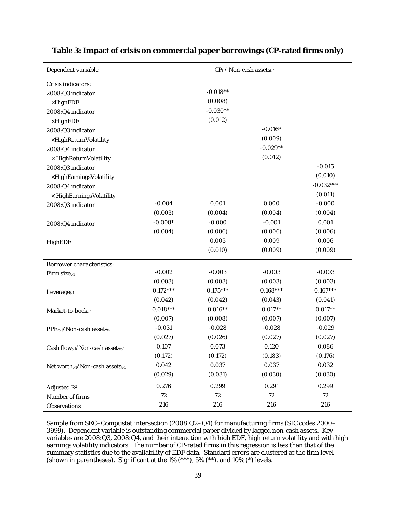| Dependent variable:                                      |            |            | $CP_t / \text{Non-cash assets}_{t-1}$ |             |
|----------------------------------------------------------|------------|------------|---------------------------------------|-------------|
| Crisis indicators:                                       |            |            |                                       |             |
| 2008:Q3 indicator                                        |            | $-0.018**$ |                                       |             |
| $\times$ HighEDF                                         |            | (0.008)    |                                       |             |
| 2008:Q4 indicator                                        |            | $-0.030**$ |                                       |             |
| $\times$ HighEDF                                         |            | (0.012)    |                                       |             |
| 2008:Q3 indicator                                        |            |            | $-0.016*$                             |             |
| ×HighReturnVolatility                                    |            |            | (0.009)                               |             |
| 2008:Q4 indicator                                        |            |            | $-0.029**$                            |             |
| $\times$ HighReturnVolatility                            |            |            | (0.012)                               |             |
| 2008:Q3 indicator                                        |            |            |                                       | $-0.015$    |
| ×HighEarningsVolatility                                  |            |            |                                       | (0.010)     |
| 2008:Q4 indicator                                        |            |            |                                       | $-0.032***$ |
| × HighEarningsVolatility                                 |            |            |                                       | (0.011)     |
| 2008:Q3 indicator                                        | $-0.004$   | 0.001      | 0.000                                 | $-0.000$    |
|                                                          | (0.003)    | (0.004)    | (0.004)                               | (0.004)     |
| 2008:Q4 indicator                                        | $-0.008*$  | $-0.000$   | $-0.001$                              | 0.001       |
|                                                          | (0.004)    | (0.006)    | (0.006)                               | (0.006)     |
| HighEDF                                                  |            | 0.005      | 0.009                                 | 0.006       |
|                                                          |            | (0.010)    | (0.009)                               | (0.009)     |
| <b>Borrower characteristics:</b>                         |            |            |                                       |             |
| Firm $size_{t-1}$                                        | $-0.002$   | $-0.003$   | $-0.003$                              | $-0.003$    |
|                                                          | (0.003)    | (0.003)    | (0.003)                               | (0.003)     |
| Leverage <sub>t-1</sub>                                  | $0.172***$ | $0.175***$ | $0.168***$                            | $0.167***$  |
|                                                          | (0.042)    | (0.042)    | (0.043)                               | (0.041)     |
| Market-to-bookt-1                                        | $0.018***$ | $0.016**$  | $0.017**$                             | $0.017**$   |
|                                                          | (0.007)    | (0.008)    | (0.007)                               | (0.007)     |
| PPE <sub>t-1</sub> /Non-cash assets <sub>t-1</sub>       | $-0.031$   | $-0.028$   | $-0.028$                              | $-0.029$    |
|                                                          | (0.027)    | (0.026)    | (0.027)                               | (0.027)     |
| Cash flow <sub>t-1</sub> /Non-cash assets <sub>t-1</sub> | 0.107      | 0.073      | 0.120                                 | 0.086       |
|                                                          | (0.172)    | (0.172)    | (0.183)                               | (0.176)     |
| Net worth $_{t-1}/$ Non-cash assets $_{t-1}$             | 0.042      | 0.037      | 0.037                                 | 0.032       |
|                                                          | (0.029)    | (0.031)    | (0.030)                               | (0.030)     |
| Adjusted $\mathbb{R}^2$                                  | 0.276      | 0.299      | 0.291                                 | 0.299       |
| Number of firms                                          | $72\,$     | 72         | 72                                    | 72          |
| Observations                                             | 216        | 216        | 216                                   | 216         |

## **Table 3: Impact of crisis on commercial paper borrowings (CP-rated firms only)**

Sample from SEC–Compustat intersection (2008:Q2–Q4) for manufacturing firms (SIC codes 2000– 3999). Dependent variable is outstanding commercial paper divided by lagged non-cash assets. Key variables are 2008:Q3, 2008:Q4, and their interaction with high EDF, high return volatility and with high earnings volatility indicators. The number of CP-rated firms in this regression is less than that of the summary statistics due to the availability of EDF data. Standard errors are clustered at the firm level (shown in parentheses). Significant at the 1% (\*\*\*), 5% (\*\*), and 10% (\*) levels.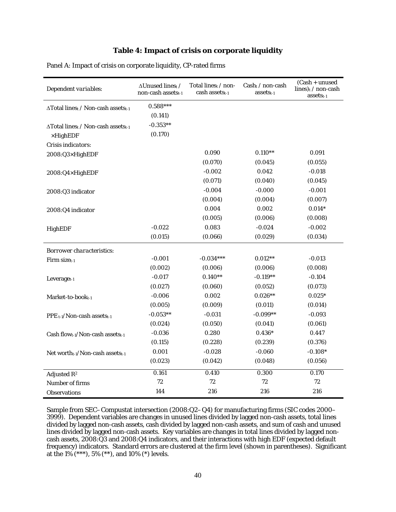# **Table 4: Impact of crisis on corporate liquidity**

| Dependent variables:                                     | $\Delta$ Unused linest /<br>non-cash assetst-1 | Total lines $_{t}$ / non-<br>cash assets <sub>t-1</sub> | $Cash_t / non-cash$<br>$asserts_{t-1}$ | $(Cash + unused)$<br>lines) $t$ / non-cash<br>$assets_{t-1}$ |
|----------------------------------------------------------|------------------------------------------------|---------------------------------------------------------|----------------------------------------|--------------------------------------------------------------|
| $\Delta$ Total linest / Non-cash assetst-1               | $0.588***$                                     |                                                         |                                        |                                                              |
|                                                          | (0.141)                                        |                                                         |                                        |                                                              |
| ∆Total linest / Non-cash assetst-1                       | $-0.353**$                                     |                                                         |                                        |                                                              |
| $\times$ HighEDF                                         | (0.170)                                        |                                                         |                                        |                                                              |
| Crisis indicators:                                       |                                                |                                                         |                                        |                                                              |
| 2008:Q3×HighEDF                                          |                                                | 0.090                                                   | $0.110**$                              | 0.091                                                        |
|                                                          |                                                | (0.070)                                                 | (0.045)                                | (0.055)                                                      |
| 2008:Q4×HighEDF                                          |                                                | $-0.002$                                                | 0.042                                  | $-0.018$                                                     |
|                                                          |                                                | (0.071)                                                 | (0.040)                                | (0.045)                                                      |
| 2008:Q3 indicator                                        |                                                | $-0.004$                                                | $-0.000$                               | $-0.001$                                                     |
|                                                          |                                                | (0.004)                                                 | (0.004)                                | (0.007)                                                      |
| 2008:Q4 indicator                                        |                                                | 0.004                                                   | 0.002                                  | $0.014*$                                                     |
|                                                          |                                                | (0.005)                                                 | (0.006)                                | (0.008)                                                      |
| <b>HighEDF</b>                                           | $-0.022$                                       | 0.083                                                   | $-0.024$                               | $-0.002$                                                     |
|                                                          | (0.015)                                        | (0.066)                                                 | (0.029)                                | (0.034)                                                      |
| <b>Borrower characteristics:</b>                         |                                                |                                                         |                                        |                                                              |
| Firm sizet-1                                             | $-0.001$                                       | $-0.034***$                                             | $0.012**$                              | $-0.013$                                                     |
|                                                          | (0.002)                                        | (0.006)                                                 | (0.006)                                | (0.008)                                                      |
| Leverage <sub>t-1</sub>                                  | $-0.017$                                       | $0.140**$                                               | $-0.119**$                             | $-0.104$                                                     |
|                                                          | (0.027)                                        | (0.060)                                                 | (0.052)                                | (0.073)                                                      |
| Market-to-book <sub>t-1</sub>                            | $-0.006$                                       | 0.002                                                   | $0.026**$                              | $0.025*$                                                     |
|                                                          | (0.005)                                        | (0.009)                                                 | (0.011)                                | (0.014)                                                      |
| PPE <sub>t-1</sub> /Non-cash assets <sub>t-1</sub>       | $-0.053**$                                     | $-0.031$                                                | $-0.099**$                             | $-0.093$                                                     |
|                                                          | (0.024)                                        | (0.050)                                                 | (0.041)                                | (0.061)                                                      |
| Cash flow <sub>t-1</sub> /Non-cash assets <sub>t-1</sub> | $-0.036$                                       | 0.280                                                   | $0.436*$                               | 0.447                                                        |
|                                                          | (0.115)                                        | (0.228)                                                 | (0.239)                                | (0.376)                                                      |
| Net worth-1/Non-cash assets-1                            | 0.001                                          | $-0.028$                                                | $-0.060$                               | $-0.108*$                                                    |
|                                                          | (0.023)                                        | (0.042)                                                 | (0.048)                                | (0.056)                                                      |
| Adjusted $R^2$                                           | 0.161                                          | 0.410                                                   | 0.300                                  | 0.170                                                        |
| Number of firms                                          | 72                                             | 72                                                      | 72                                     | 72                                                           |
| <b>Observations</b>                                      | 144                                            | 216                                                     | 216                                    | 216                                                          |

Panel A: Impact of crisis on corporate liquidity, CP-rated firms

Sample from SEC–Compustat intersection (2008:Q2–Q4) for manufacturing firms (SIC codes 2000– 3999). Dependent variables are changes in unused lines divided by lagged non-cash assets, total lines divided by lagged non-cash assets, cash divided by lagged non-cash assets, and sum of cash and unused lines divided by lagged non-cash assets. Key variables are changes in total lines divided by lagged noncash assets, 2008:Q3 and 2008:Q4 indicators, and their interactions with high EDF (expected default frequency) indicators. Standard errors are clustered at the firm level (shown in parentheses). Significant at the 1% (\*\*\*), 5% (\*\*), and 10% (\*) levels.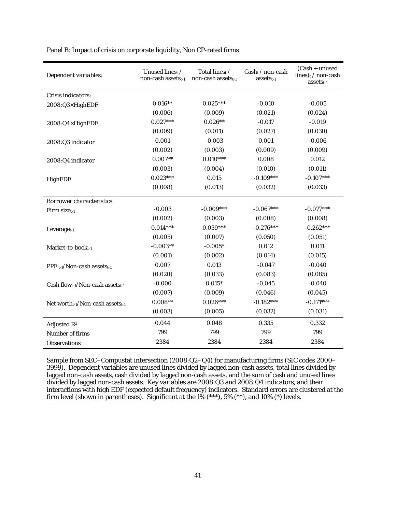| Dependent variables:                                     | Unused linest /<br>non-cash assets <sub>t-1</sub> | Total lines <sub>t</sub> /<br>non-cash assetst-1 | $Cash_t / non-cash$<br>$asserts_{t-1}$ | $(Cash + unused$<br>lines) $t$ / non-cash<br>$assets_{t-1}$ |
|----------------------------------------------------------|---------------------------------------------------|--------------------------------------------------|----------------------------------------|-------------------------------------------------------------|
| Crisis indicators:                                       |                                                   |                                                  |                                        |                                                             |
| 2008:Q3×HighEDF                                          | $0.016**$                                         | $0.025***$                                       | $-0.010$                               | $-0.005$                                                    |
|                                                          | (0.006)                                           | (0.009)                                          | (0.021)                                | (0.024)                                                     |
| 2008:Q4×HighEDF                                          | $0.027***$                                        | $0.026**$                                        | $-0.017$                               | $-0.019$                                                    |
|                                                          | (0.009)                                           | (0.011)                                          | (0.027)                                | (0.030)                                                     |
| 2008:Q3 indicator                                        | 0.001                                             | $-0.003$                                         | 0.001                                  | $-0.006$                                                    |
|                                                          | (0.002)                                           | (0.003)                                          | (0.009)                                | (0.009)                                                     |
| 2008:Q4 indicator                                        | $0.007**$                                         | $0.010***$                                       | 0.008                                  | 0.012                                                       |
|                                                          | (0.003)                                           | (0.004)                                          | (0.010)                                | (0.011)                                                     |
| <b>HighEDF</b>                                           | $0.023***$                                        | 0.015                                            | $-0.109***$                            | $-0.107***$                                                 |
|                                                          | (0.008)                                           | (0.013)                                          | (0.032)                                | (0.033)                                                     |
| <b>Borrower characteristics:</b>                         |                                                   |                                                  |                                        |                                                             |
| Firm sizet-1                                             | $-0.003$                                          | $-0.009***$                                      | $-0.067***$                            | $-0.077***$                                                 |
|                                                          | (0.002)                                           | (0.003)                                          | (0.008)                                | (0.008)                                                     |
| Leverage $t-1$                                           | $0.014***$                                        | $0.039***$                                       | $-0.276***$                            | $-0.262***$                                                 |
|                                                          | (0.005)                                           | (0.007)                                          | (0.050)                                | (0.051)                                                     |
| Market-to-book <sub>t-1</sub>                            | $-0.003**$                                        | $-0.005*$                                        | 0.012                                  | 0.011                                                       |
|                                                          | (0.001)                                           | (0.002)                                          | (0.014)                                | (0.015)                                                     |
| PPE <sub>t-1</sub> /Non-cash assets <sub>t-1</sub>       | 0.007                                             | 0.013                                            | $-0.047$                               | $-0.040$                                                    |
|                                                          | (0.020)                                           | (0.033)                                          | (0.083)                                | (0.085)                                                     |
| Cash flow <sub>t-1</sub> /Non-cash assets <sub>t-1</sub> | $-0.000$                                          | $0.015*$                                         | $-0.045$                               | $-0.040$                                                    |
|                                                          | (0.007)                                           | (0.009)                                          | (0.046)                                | (0.045)                                                     |
| Net worth $t-1/N$ on-cash assets $t-1$                   | $0.008**$                                         | $0.026***$                                       | $-0.182***$                            | $-0.171***$                                                 |
|                                                          | (0.003)                                           | (0.005)                                          | (0.032)                                | (0.031)                                                     |
| Adjusted $\mathbb{R}^2$                                  | 0.044                                             | 0.048                                            | 0.335                                  | 0.332                                                       |
| Number of firms                                          | 799                                               | 799                                              | 799                                    | 799                                                         |
| <b>Observations</b>                                      | 2384                                              | 2384                                             | 2384                                   | 2384                                                        |

Panel B: Impact of crisis on corporate liquidity, Non CP-rated firms

Sample from SEC–Compustat intersection (2008:Q2–Q4) for manufacturing firms (SIC codes 2000– 3999). Dependent variables are unused lines divided by lagged non-cash assets, total lines divided by lagged non-cash assets, cash divided by lagged non-cash assets, and the sum of cash and unused lines divided by lagged non-cash assets. Key variables are 2008:Q3 and 2008:Q4 indicators, and their interactions with high EDF (expected default frequency) indicators. Standard errors are clustered at the firm level (shown in parentheses). Significant at the 1% (\*\*\*), 5% (\*\*), and 10% (\*) levels.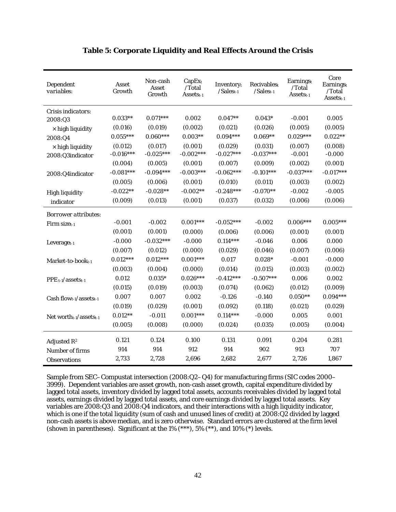| Dependent<br>variables:        | Asset<br>Growth | Non-cash<br>Asset<br>Growth | CapEx <sub>t</sub><br>/Total<br>Assets <sub>t-1</sub> | Inventoryt<br>$/Salest-1$ | Recivables <sub>t</sub><br>$/Sales_{t-1}$ | Earningst<br>/Total<br>Assets <sub>t-1</sub> | Core<br><b>Earningst</b><br>/Total<br>Assetst-1 |
|--------------------------------|-----------------|-----------------------------|-------------------------------------------------------|---------------------------|-------------------------------------------|----------------------------------------------|-------------------------------------------------|
| Crisis indicators:             |                 |                             |                                                       |                           |                                           |                                              |                                                 |
| 2008:Q3                        | $0.033**$       | $0.071***$                  | 0.002                                                 | $0.047**$                 | $0.043*$                                  | $-0.001$                                     | 0.005                                           |
| $\times$ high liquidity        | (0.016)         | (0.019)                     | (0.002)                                               | (0.021)                   | (0.026)                                   | (0.005)                                      | (0.005)                                         |
| 2008:Q4                        | $0.055***$      | $0.060***$                  | $0.003**$                                             | $0.094***$                | $0.069**$                                 | $0.029***$                                   | $0.022**$                                       |
| $\times$ high liquidity        | (0.012)         | (0.017)                     | (0.001)                                               | (0.029)                   | (0.031)                                   | (0.007)                                      | (0.008)                                         |
| 2008:Q3indicator               | $-0.016***$     | $-0.025***$                 | $-0.002***$                                           | $-0.027***$               | $-0.037***$                               | $-0.001$                                     | $-0.000$                                        |
|                                | (0.004)         | (0.005)                     | (0.001)                                               | (0.007)                   | (0.009)                                   | (0.002)                                      | (0.001)                                         |
| 2008:Q4indicator               | $-0.081***$     | $-0.094***$                 | $-0.003***$                                           | $-0.062***$               | $-0.101***$                               | $-0.037***$                                  | $-0.017***$                                     |
|                                | (0.005)         | (0.006)                     | (0.001)                                               | (0.010)                   | (0.011)                                   | (0.003)                                      | (0.002)                                         |
| <b>High liquidity</b>          | $-0.022**$      | $-0.028**$                  | $-0.002**$                                            | $-0.248***$               | $-0.070**$                                | $-0.002$                                     | $-0.005$                                        |
| indicator                      | (0.009)         | (0.013)                     | (0.001)                                               | (0.037)                   | (0.032)                                   | (0.006)                                      | (0.006)                                         |
| <i>Borrower attributes:</i>    |                 |                             |                                                       |                           |                                           |                                              |                                                 |
| Firm sizet-1                   | $-0.001$        | $-0.002$                    | $0.001***$                                            | $-0.052***$               | $-0.002$                                  | $0.006***$                                   | $0.005***$                                      |
|                                | (0.001)         | (0.001)                     | (0.000)                                               | (0.006)                   | (0.006)                                   | (0.001)                                      | (0.001)                                         |
| $Leveraget-1$                  | $-0.000$        | $-0.032***$                 | $-0.000$                                              | $0.114***$                | $-0.046$                                  | 0.006                                        | 0.000                                           |
|                                | (0.007)         | (0.012)                     | (0.000)                                               | (0.029)                   | (0.046)                                   | (0.007)                                      | (0.006)                                         |
| Market-to-book <sub>t-1</sub>  | $0.012***$      | $0.012***$                  | $0.001***$                                            | 0.017                     | $0.028*$                                  | $-0.001$                                     | $-0.000$                                        |
|                                | (0.003)         | (0.004)                     | (0.000)                                               | (0.014)                   | (0.015)                                   | (0.003)                                      | (0.002)                                         |
| $PPE_{t-1}/assets_{t-1}$       | 0.012           | $0.035*$                    | $0.026***$                                            | $-0.412***$               | $-0.507***$                               | 0.006                                        | 0.002                                           |
|                                | (0.015)         | (0.019)                     | (0.003)                                               | (0.074)                   | (0.062)                                   | (0.012)                                      | (0.009)                                         |
| Cash flow $t$ -1/assets $t$ -1 | 0.007           | 0.007                       | 0.002                                                 | $-0.126$                  | $-0.140$                                  | $0.050**$                                    | $0.094***$                                      |
|                                | (0.019)         | (0.029)                     | (0.001)                                               | (0.092)                   | (0.118)                                   | (0.021)                                      | (0.029)                                         |
| Net worth $t-1$ /assets $t-1$  | $0.012**$       | $-0.011$                    | $0.001***$                                            | $0.114***$                | $-0.000$                                  | 0.005                                        | 0.001                                           |
|                                | (0.005)         | (0.008)                     | (0.000)                                               | (0.024)                   | (0.035)                                   | (0.005)                                      | (0.004)                                         |
|                                | 0.121           | 0.124                       | 0.100                                                 | 0.131                     | 0.091                                     | 0.204                                        | 0.281                                           |
| Adjusted $R^2$                 | 914             | 914                         | 912                                                   | 914                       | 902                                       | 913                                          | 707                                             |
| Number of firms                |                 |                             |                                                       |                           |                                           |                                              |                                                 |
| Observations                   | 2,733           | 2,728                       | 2,696                                                 | 2,682                     | 2,677                                     | 2,726                                        | 1,867                                           |

## **Table 5: Corporate Liquidity and Real Effects Around the Crisis**

Sample from SEC–Compustat intersection (2008:Q2–Q4) for manufacturing firms (SIC codes 2000– 3999). Dependent variables are asset growth, non-cash asset growth, capital expenditure divided by lagged total assets, inventory divided by lagged total assets, accounts receivables divided by lagged total assets, earnings divided by lagged total assets, and core earnings divided by lagged total assets. Key variables are 2008:Q3 and 2008:Q4 indicators, and their interactions with a high liquidity indicator, which is one if the total liquidity (sum of cash and unused lines of credit) at 2008:Q2 divided by lagged non-cash assets is above median, and is zero otherwise. Standard errors are clustered at the firm level (shown in parentheses). Significant at the  $1\%$  (\*\*\*),  $5\%$  (\*\*), and  $10\%$  (\*) levels.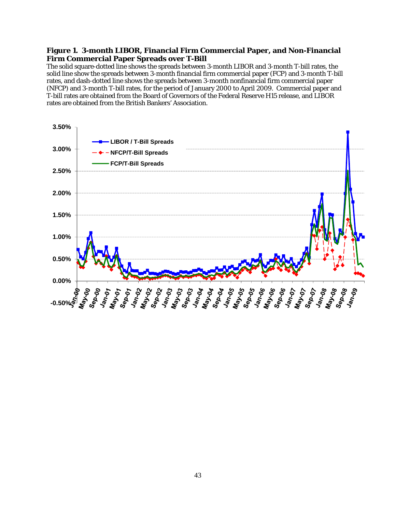## **Figure 1. 3-month LIBOR, Financial Firm Commercial Paper, and Non-Financial Firm Commercial Paper Spreads over T-Bill**

The solid square-dotted line shows the spreads between 3-month LIBOR and 3-month T-bill rates, the solid line show the spreads between 3-month financial firm commercial paper (FCP) and 3-month T-bill rates, and dash-dotted line shows the spreads between 3-month nonfinancial firm commercial paper (NFCP) and 3-month T-bill rates, for the period of January 2000 to April 2009. Commercial paper and T-bill rates are obtained from the Board of Governors of the Federal Reserve H15 release, and LIBOR rates are obtained from the British Bankers' Association.

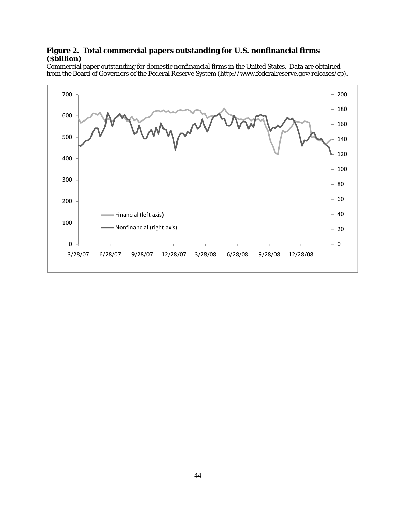# **Figure 2. Total commercial papers outstanding for U.S. nonfinancial firms (\$billion)**

Commercial paper outstanding for domestic nonfinancial firms in the United States. Data are obtained from the Board of Governors of the Federal Reserve System (http://www.federalreserve.gov/releases/cp).

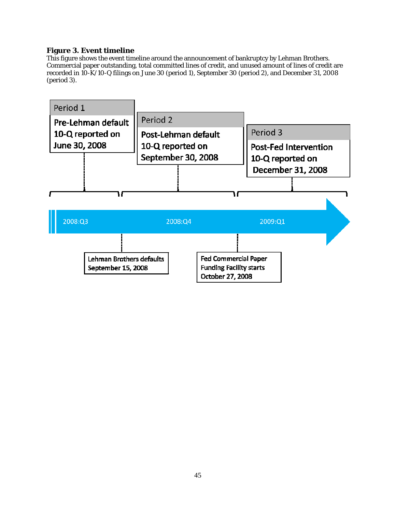## **Figure 3. Event timeline**

This figure shows the event timeline around the announcement of bankruptcy by Lehman Brothers. Commercial paper outstanding, total committed lines of credit, and unused amount of lines of credit are recorded in 10-K/10-Q filings on June 30 (period 1), September 30 (period 2), and December 31, 2008 (period 3).

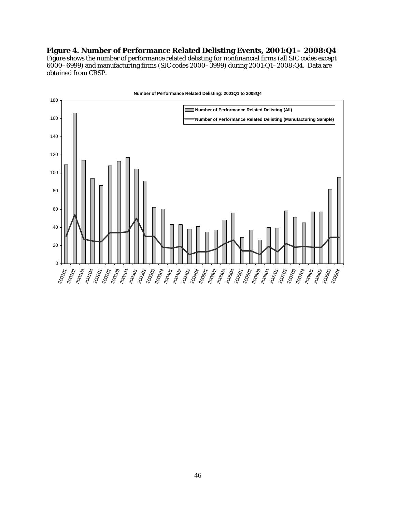## **Figure 4. Number of Performance Related Delisting Events, 2001:Q1 – 2008:Q4**

Figure shows the number of performance related delisting for nonfinancial firms (all SIC codes except  $6000-6999$ ) and manufacturing firms (SIC codes 2000–3999) during 2001:Q1–2008:Q4. Data are obtained from CRSP.

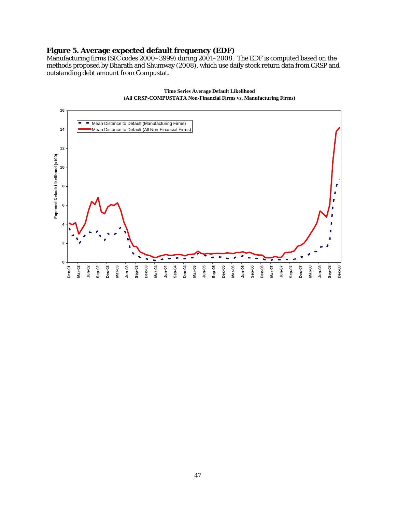## **Figure 5. Average expected default frequency (EDF)**

Manufacturing firms (SIC codes 2000–3999) during 2001–2008. The EDF is computed based on the methods proposed by Bharath and Shumway (2008), which use daily stock return data from CRSP and outstanding debt amount from Compustat.



**Time Series Average Default Likelihood (All CRSP-COMPUSTATA Non-Financial Firms vs. Manufacturing Firms)**